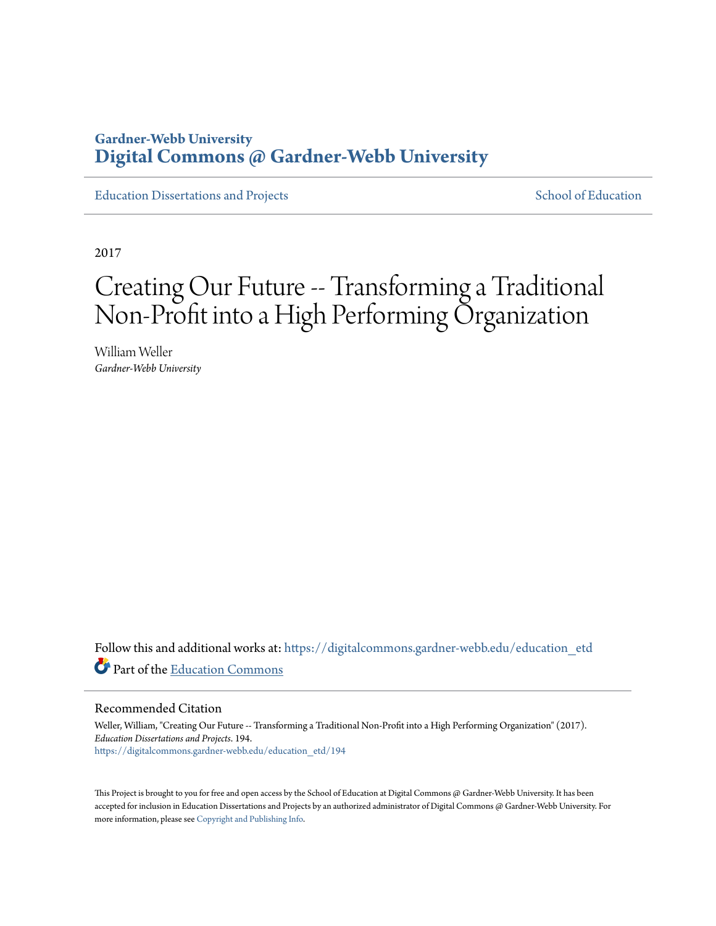## **Gardner-Webb University [Digital Commons @ Gardner-Webb University](https://digitalcommons.gardner-webb.edu?utm_source=digitalcommons.gardner-webb.edu%2Feducation_etd%2F194&utm_medium=PDF&utm_campaign=PDFCoverPages)**

[Education Dissertations and Projects](https://digitalcommons.gardner-webb.edu/education_etd?utm_source=digitalcommons.gardner-webb.edu%2Feducation_etd%2F194&utm_medium=PDF&utm_campaign=PDFCoverPages) [School of Education](https://digitalcommons.gardner-webb.edu/education?utm_source=digitalcommons.gardner-webb.edu%2Feducation_etd%2F194&utm_medium=PDF&utm_campaign=PDFCoverPages)

2017

# Creating Our Future -- Transforming a Traditional Non-Profit into a High Performing Organization

William Weller *Gardner-Webb University*

Follow this and additional works at: [https://digitalcommons.gardner-webb.edu/education\\_etd](https://digitalcommons.gardner-webb.edu/education_etd?utm_source=digitalcommons.gardner-webb.edu%2Feducation_etd%2F194&utm_medium=PDF&utm_campaign=PDFCoverPages) Part of the [Education Commons](http://network.bepress.com/hgg/discipline/784?utm_source=digitalcommons.gardner-webb.edu%2Feducation_etd%2F194&utm_medium=PDF&utm_campaign=PDFCoverPages)

Recommended Citation

Weller, William, "Creating Our Future -- Transforming a Traditional Non-Profit into a High Performing Organization" (2017). *Education Dissertations and Projects*. 194. [https://digitalcommons.gardner-webb.edu/education\\_etd/194](https://digitalcommons.gardner-webb.edu/education_etd/194?utm_source=digitalcommons.gardner-webb.edu%2Feducation_etd%2F194&utm_medium=PDF&utm_campaign=PDFCoverPages)

This Project is brought to you for free and open access by the School of Education at Digital Commons @ Gardner-Webb University. It has been accepted for inclusion in Education Dissertations and Projects by an authorized administrator of Digital Commons @ Gardner-Webb University. For more information, please see [Copyright and Publishing Info](https://digitalcommons.gardner-webb.edu/copyright_publishing.html).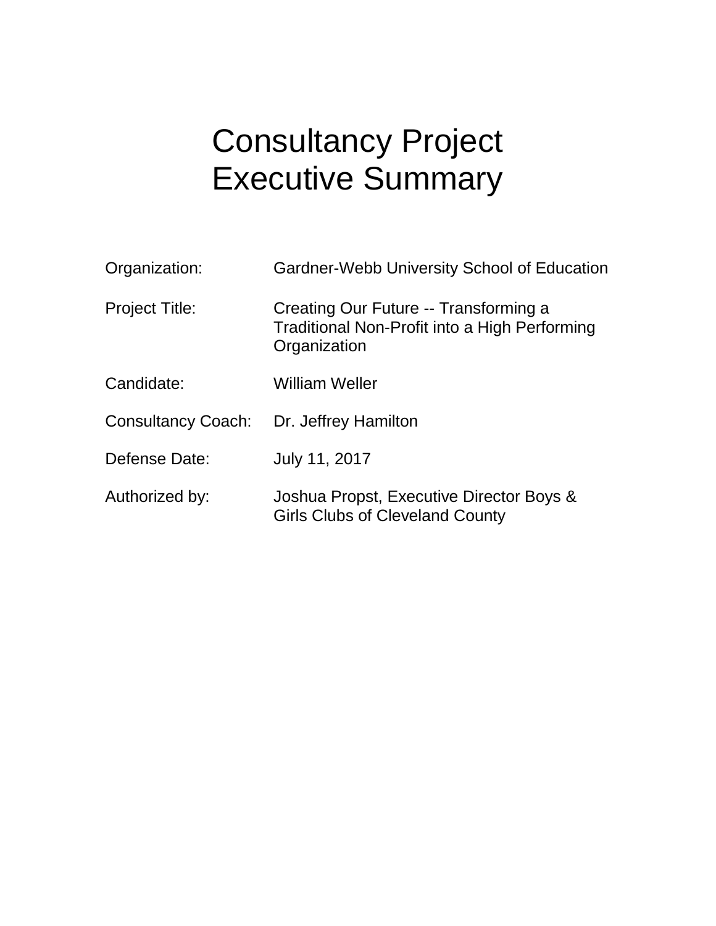# Consultancy Project Executive Summary

| Organization:             | Gardner-Webb University School of Education                                                            |
|---------------------------|--------------------------------------------------------------------------------------------------------|
| <b>Project Title:</b>     | Creating Our Future -- Transforming a<br>Traditional Non-Profit into a High Performing<br>Organization |
| Candidate:                | <b>William Weller</b>                                                                                  |
| <b>Consultancy Coach:</b> | Dr. Jeffrey Hamilton                                                                                   |
| Defense Date:             | July 11, 2017                                                                                          |
| Authorized by:            | Joshua Propst, Executive Director Boys &<br><b>Girls Clubs of Cleveland County</b>                     |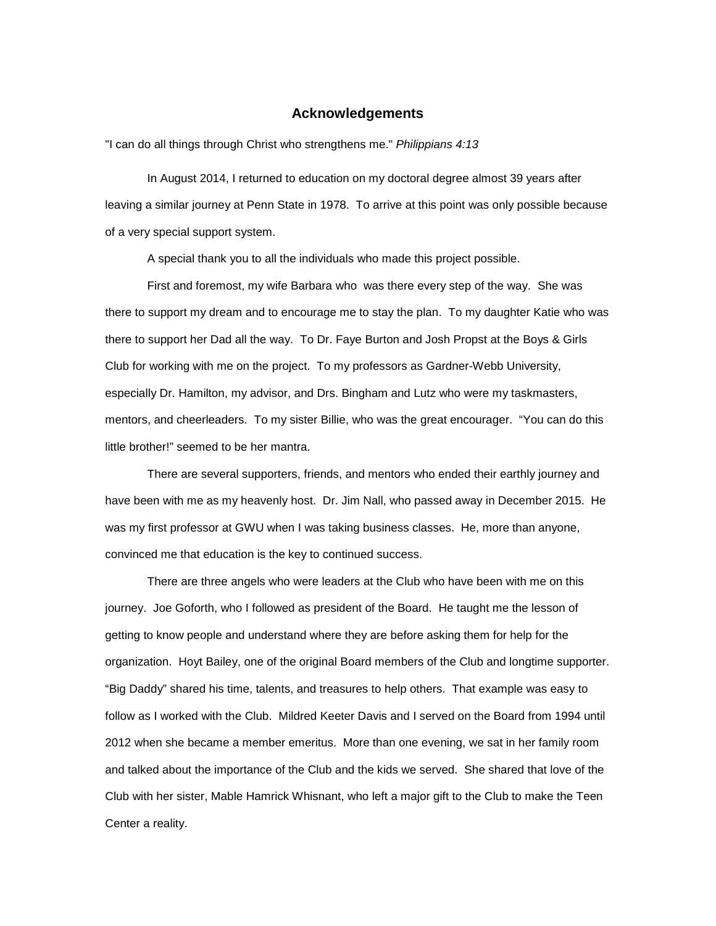#### **Acknowledgements**

"I can do all things through Christ who strengthens me." *Philippians 4:13*

In August 2014, I returned to education on my doctoral degree almost 39 years after leaving a similar journey at Penn State in 1978. To arrive at this point was only possible because of a very special support system.

A special thank you to all the individuals who made this project possible.

First and foremost, my wife Barbara who was there every step of the way. She was there to support my dream and to encourage me to stay the plan. To my daughter Katie who was there to support her Dad all the way. To Dr. Faye Burton and Josh Propst at the Boys & Girls Club for working with me on the project. To my professors as Gardner-Webb University, especially Dr. Hamilton, my advisor, and Drs. Bingham and Lutz who were my taskmasters, mentors, and cheerleaders. To my sister Billie, who was the great encourager. "You can do this little brother!" seemed to be her mantra.

There are several supporters, friends, and mentors who ended their earthly journey and have been with me as my heavenly host. Dr. Jim Nall, who passed away in December 2015. He was my first professor at GWU when I was taking business classes. He, more than anyone, convinced me that education is the key to continued success.

There are three angels who were leaders at the Club who have been with me on this journey. Joe Goforth, who I followed as president of the Board. He taught me the lesson of getting to know people and understand where they are before asking them for help for the organization. Hoyt Bailey, one of the original Board members of the Club and longtime supporter. "Big Daddy" shared his time, talents, and treasures to help others. That example was easy to follow as I worked with the Club. Mildred Keeter Davis and I served on the Board from 1994 until 2012 when she became a member emeritus. More than one evening, we sat in her family room and talked about the importance of the Club and the kids we served. She shared that love of the Club with her sister, Mable Hamrick Whisnant, who left a major gift to the Club to make the Teen Center a reality.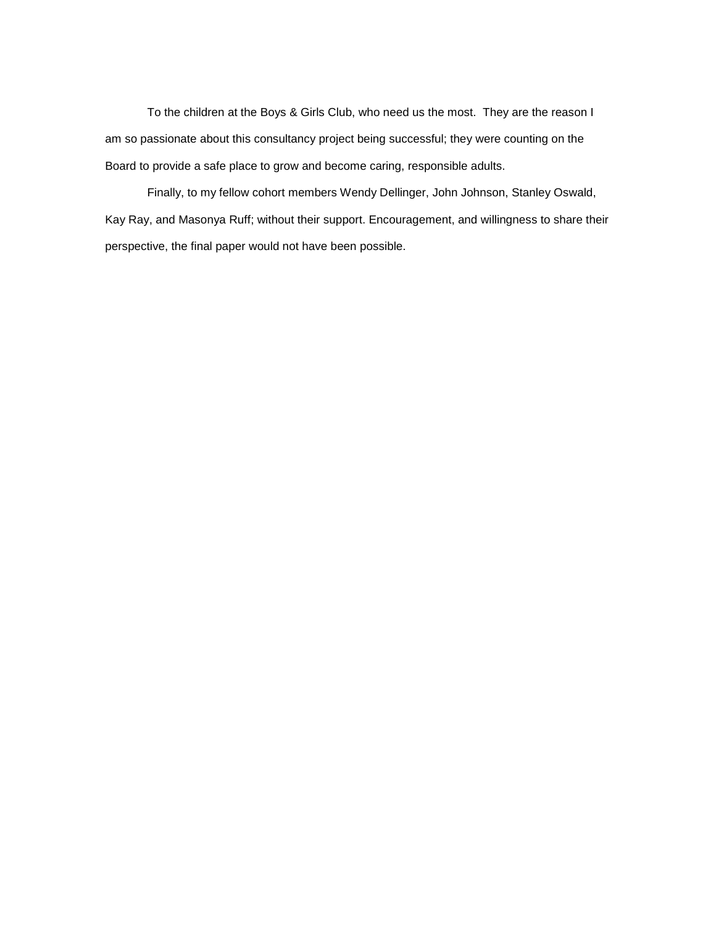To the children at the Boys & Girls Club, who need us the most. They are the reason I am so passionate about this consultancy project being successful; they were counting on the Board to provide a safe place to grow and become caring, responsible adults.

Finally, to my fellow cohort members Wendy Dellinger, John Johnson, Stanley Oswald, Kay Ray, and Masonya Ruff; without their support. Encouragement, and willingness to share their perspective, the final paper would not have been possible.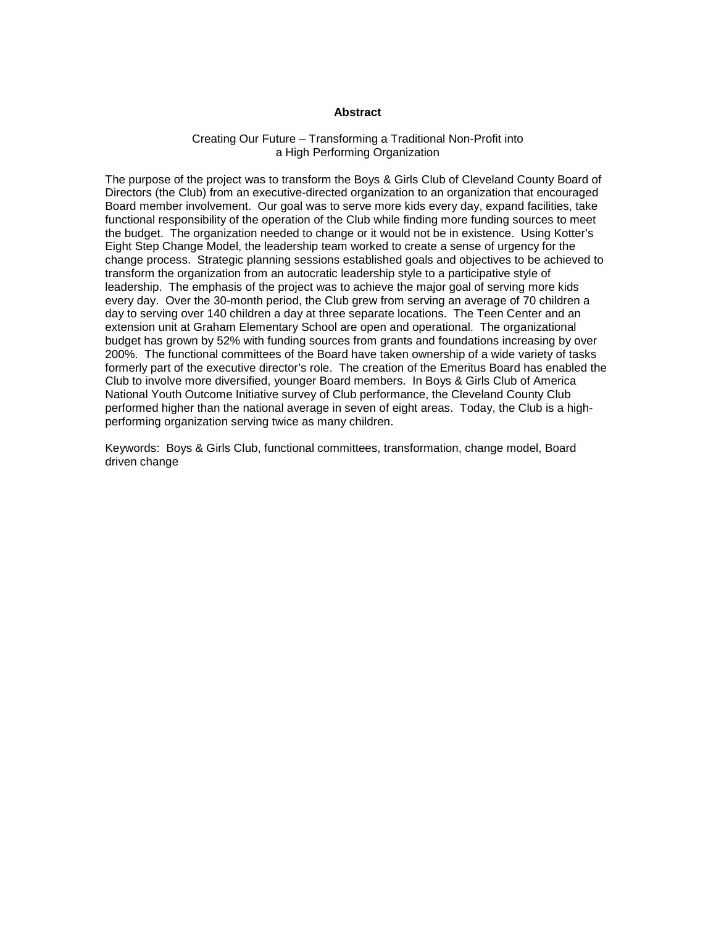#### **Abstract**

#### Creating Our Future – Transforming a Traditional Non-Profit into a High Performing Organization

<span id="page-4-0"></span>The purpose of the project was to transform the Boys & Girls Club of Cleveland County Board of Directors (the Club) from an executive-directed organization to an organization that encouraged Board member involvement. Our goal was to serve more kids every day, expand facilities, take functional responsibility of the operation of the Club while finding more funding sources to meet the budget. The organization needed to change or it would not be in existence. Using Kotter's Eight Step Change Model, the leadership team worked to create a sense of urgency for the change process. Strategic planning sessions established goals and objectives to be achieved to transform the organization from an autocratic leadership style to a participative style of leadership. The emphasis of the project was to achieve the major goal of serving more kids every day. Over the 30-month period, the Club grew from serving an average of 70 children a day to serving over 140 children a day at three separate locations. The Teen Center and an extension unit at Graham Elementary School are open and operational. The organizational budget has grown by 52% with funding sources from grants and foundations increasing by over 200%. The functional committees of the Board have taken ownership of a wide variety of tasks formerly part of the executive director's role. The creation of the Emeritus Board has enabled the Club to involve more diversified, younger Board members. In Boys & Girls Club of America National Youth Outcome Initiative survey of Club performance, the Cleveland County Club performed higher than the national average in seven of eight areas. Today, the Club is a highperforming organization serving twice as many children.

Keywords: Boys & Girls Club, functional committees, transformation, change model, Board driven change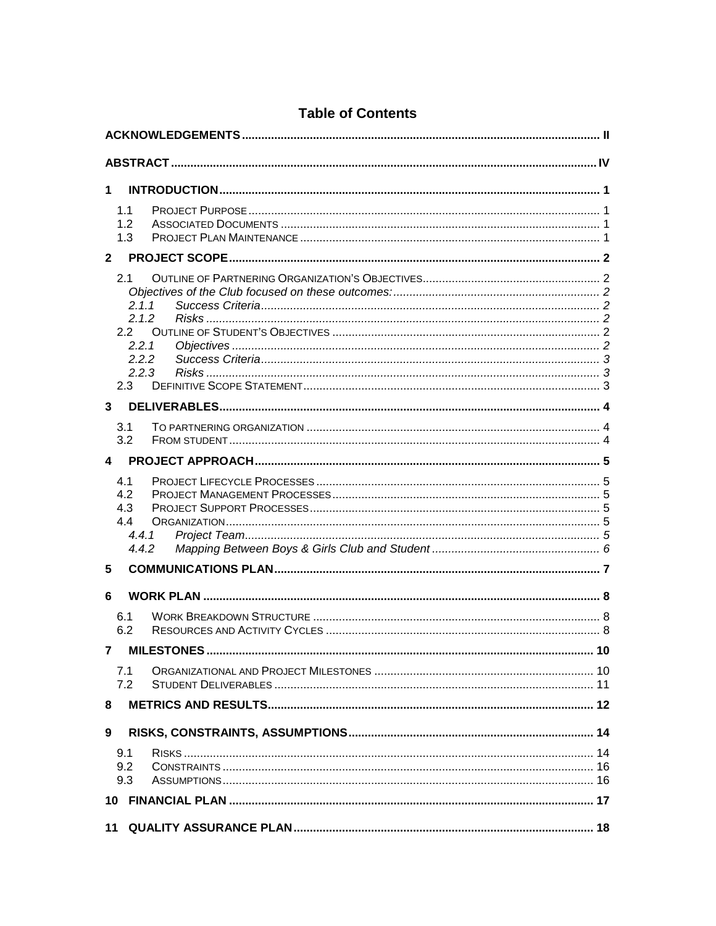| 1            |                                                                |  |  |  |  |
|--------------|----------------------------------------------------------------|--|--|--|--|
|              | 1.1<br>1.2<br>1.3                                              |  |  |  |  |
| $\mathbf{2}$ |                                                                |  |  |  |  |
|              | 2.1<br>2.1.1<br>2.1.2<br>2.2<br>2.2.1<br>2.2.2<br>2.2.3<br>2.3 |  |  |  |  |
| 3            |                                                                |  |  |  |  |
|              | 3.1<br>3.2                                                     |  |  |  |  |
| 4            |                                                                |  |  |  |  |
|              | 4.1<br>4.2<br>4.3<br>4.4<br>4.4.1<br>4.4.2                     |  |  |  |  |
| 5            |                                                                |  |  |  |  |
| 6            |                                                                |  |  |  |  |
|              | 6.1<br>6.2                                                     |  |  |  |  |
|              |                                                                |  |  |  |  |
|              | 7.1<br>7.2                                                     |  |  |  |  |
| 8            |                                                                |  |  |  |  |
| 9            |                                                                |  |  |  |  |
|              | 9.1<br>9.2<br>9.3                                              |  |  |  |  |
|              |                                                                |  |  |  |  |
|              |                                                                |  |  |  |  |

### **Table of Contents**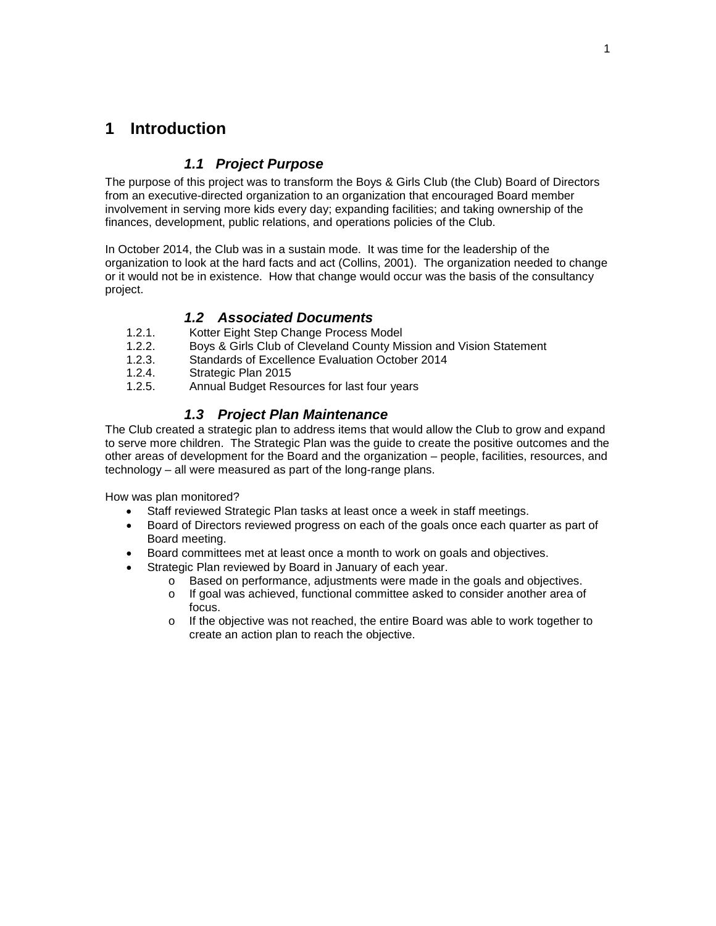### <span id="page-7-1"></span><span id="page-7-0"></span>**1 Introduction**

#### *1.1 Project Purpose*

The purpose of this project was to transform the Boys & Girls Club (the Club) Board of Directors from an executive-directed organization to an organization that encouraged Board member involvement in serving more kids every day; expanding facilities; and taking ownership of the finances, development, public relations, and operations policies of the Club.

In October 2014, the Club was in a sustain mode. It was time for the leadership of the organization to look at the hard facts and act (Collins, 2001). The organization needed to change or it would not be in existence. How that change would occur was the basis of the consultancy project.

#### *1.2 Associated Documents*

- <span id="page-7-2"></span>1.2.1. Kotter Eight Step Change Process Model<br>1.2.2. Bovs & Girls Club of Cleveland County Mi
- 1.2.2. Boys & Girls Club of Cleveland County Mission and Vision Statement<br>1.2.3. Standards of Excellence Evaluation October 2014
- Standards of Excellence Evaluation October 2014
- 1.2.4. Strategic Plan 2015<br>1.2.5. Annual Budget Reso
- Annual Budget Resources for last four years

#### *1.3 Project Plan Maintenance*

<span id="page-7-3"></span>The Club created a strategic plan to address items that would allow the Club to grow and expand to serve more children. The Strategic Plan was the guide to create the positive outcomes and the other areas of development for the Board and the organization – people, facilities, resources, and technology – all were measured as part of the long-range plans.

How was plan monitored?

- Staff reviewed Strategic Plan tasks at least once a week in staff meetings.
- Board of Directors reviewed progress on each of the goals once each quarter as part of Board meeting.
- Board committees met at least once a month to work on goals and objectives.
- Strategic Plan reviewed by Board in January of each year.
	- o Based on performance, adjustments were made in the goals and objectives.
	- o If goal was achieved, functional committee asked to consider another area of focus.
	- o If the objective was not reached, the entire Board was able to work together to create an action plan to reach the objective.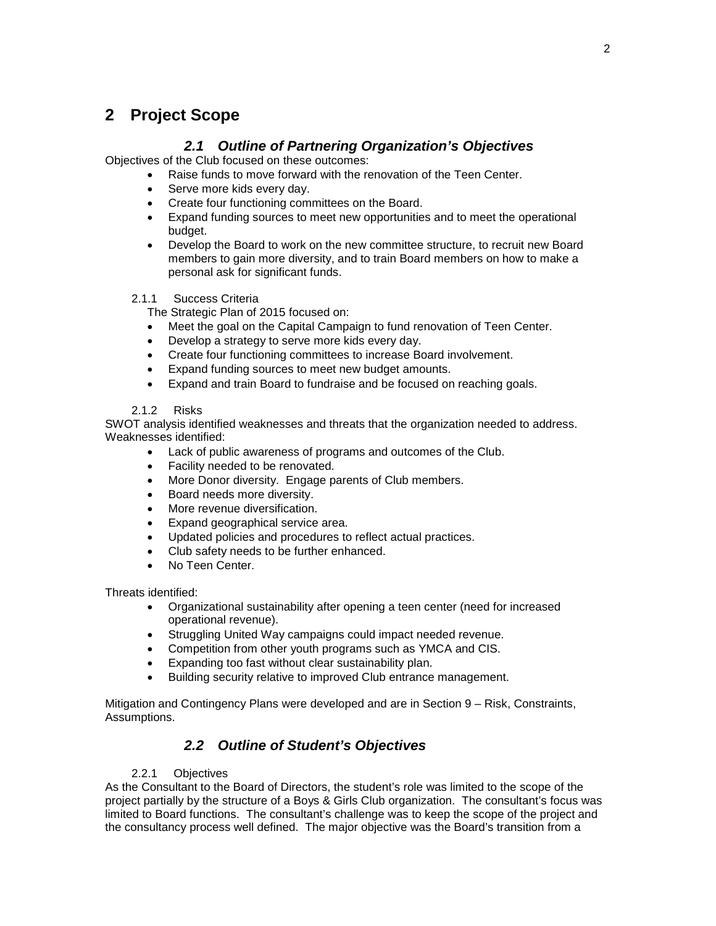# <span id="page-8-0"></span>**2 Project Scope**

### *2.1 Outline of Partnering Organization's Objectives*

<span id="page-8-2"></span><span id="page-8-1"></span>Objectives of the Club focused on these outcomes:

- Raise funds to move forward with the renovation of the Teen Center.
- Serve more kids every day.
- Create four functioning committees on the Board.
- Expand funding sources to meet new opportunities and to meet the operational budget.
- Develop the Board to work on the new committee structure, to recruit new Board members to gain more diversity, and to train Board members on how to make a personal ask for significant funds.

#### <span id="page-8-3"></span>2.1.1 Success Criteria

The Strategic Plan of 2015 focused on:

- Meet the goal on the Capital Campaign to fund renovation of Teen Center.
- Develop a strategy to serve more kids every day.
- Create four functioning committees to increase Board involvement.
- Expand funding sources to meet new budget amounts.
- Expand and train Board to fundraise and be focused on reaching goals.

#### 2.1.2 Risks

<span id="page-8-4"></span>SWOT analysis identified weaknesses and threats that the organization needed to address. Weaknesses identified:

- Lack of public awareness of programs and outcomes of the Club.
- Facility needed to be renovated.
- More Donor diversity. Engage parents of Club members.
- Board needs more diversity.
- More revenue diversification.
- Expand geographical service area.
- Updated policies and procedures to reflect actual practices.
- Club safety needs to be further enhanced.
- No Teen Center.

Threats identified:

- Organizational sustainability after opening a teen center (need for increased operational revenue).
- Struggling United Way campaigns could impact needed revenue.
- Competition from other youth programs such as YMCA and CIS.
- Expanding too fast without clear sustainability plan.
- Building security relative to improved Club entrance management.

Mitigation and Contingency Plans were developed and are in Section 9 – Risk, Constraints, Assumptions.

### *2.2 Outline of Student's Objectives*

#### <span id="page-8-5"></span>2.2.1 Objectives

<span id="page-8-6"></span>As the Consultant to the Board of Directors, the student's role was limited to the scope of the project partially by the structure of a Boys & Girls Club organization. The consultant's focus was limited to Board functions. The consultant's challenge was to keep the scope of the project and the consultancy process well defined. The major objective was the Board's transition from a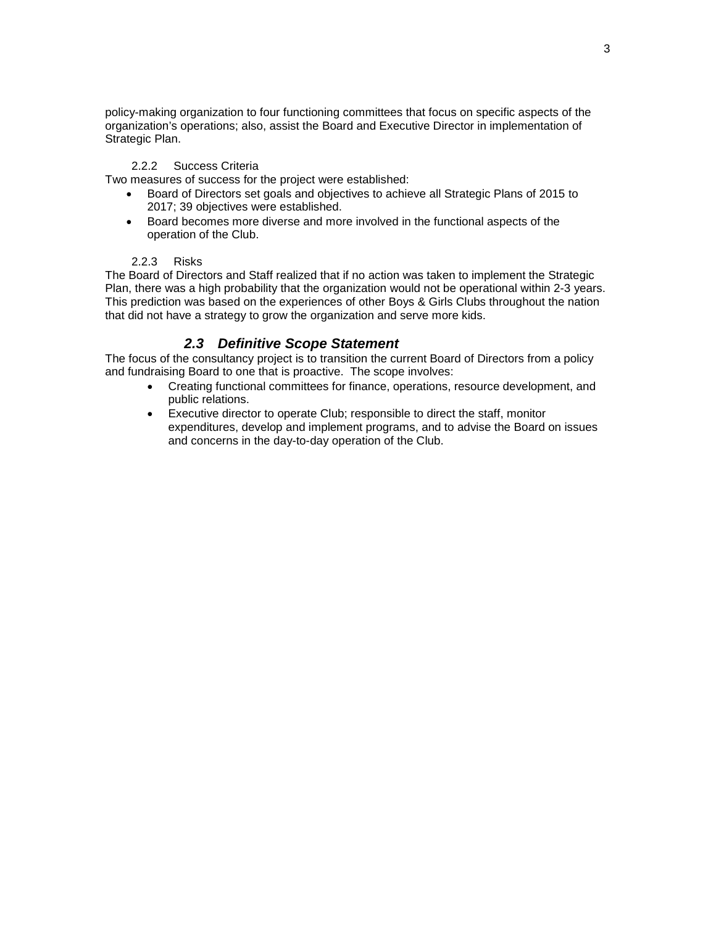policy-making organization to four functioning committees that focus on specific aspects of the organization's operations; also, assist the Board and Executive Director in implementation of Strategic Plan.

#### 2.2.2 Success Criteria

<span id="page-9-0"></span>Two measures of success for the project were established:

- Board of Directors set goals and objectives to achieve all Strategic Plans of 2015 to 2017; 39 objectives were established.
- Board becomes more diverse and more involved in the functional aspects of the operation of the Club.

#### 2.2.3 Risks

<span id="page-9-1"></span>The Board of Directors and Staff realized that if no action was taken to implement the Strategic Plan, there was a high probability that the organization would not be operational within 2-3 years. This prediction was based on the experiences of other Boys & Girls Clubs throughout the nation that did not have a strategy to grow the organization and serve more kids.

### *2.3 Definitive Scope Statement*

<span id="page-9-2"></span>The focus of the consultancy project is to transition the current Board of Directors from a policy and fundraising Board to one that is proactive. The scope involves:

- Creating functional committees for finance, operations, resource development, and public relations.
- Executive director to operate Club; responsible to direct the staff, monitor expenditures, develop and implement programs, and to advise the Board on issues and concerns in the day-to-day operation of the Club.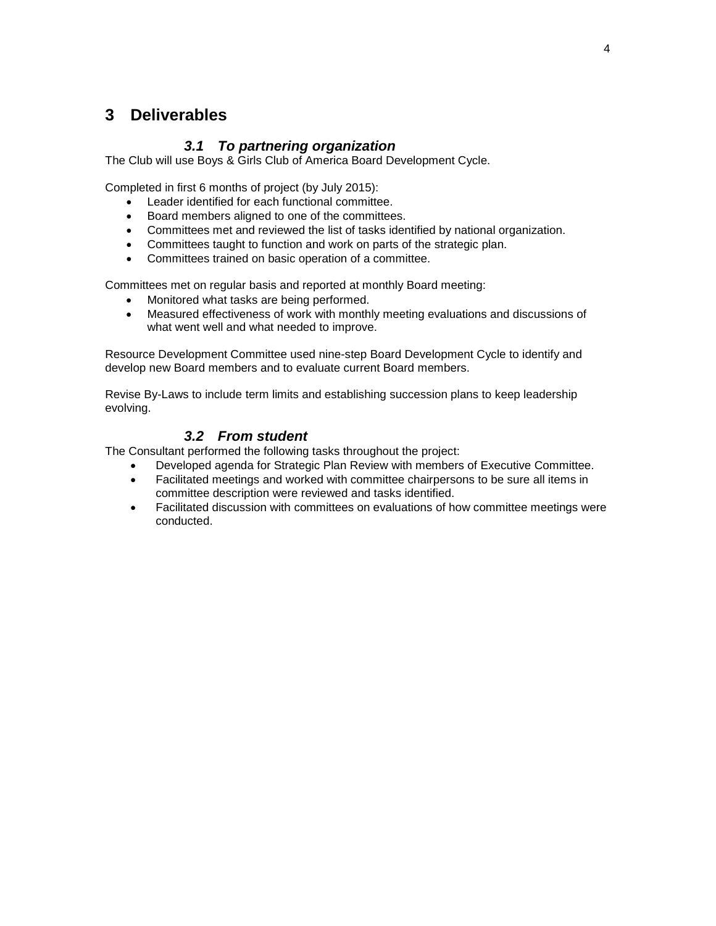## <span id="page-10-0"></span>**3 Deliverables**

### *3.1 To partnering organization*

<span id="page-10-1"></span>The Club will use Boys & Girls Club of America Board Development Cycle.

Completed in first 6 months of project (by July 2015):

- Leader identified for each functional committee.
- Board members aligned to one of the committees.
- Committees met and reviewed the list of tasks identified by national organization.
- Committees taught to function and work on parts of the strategic plan.
- Committees trained on basic operation of a committee.

Committees met on regular basis and reported at monthly Board meeting:

- Monitored what tasks are being performed.
- Measured effectiveness of work with monthly meeting evaluations and discussions of what went well and what needed to improve.

Resource Development Committee used nine-step Board Development Cycle to identify and develop new Board members and to evaluate current Board members.

Revise By-Laws to include term limits and establishing succession plans to keep leadership evolving.

### *3.2 From student*

<span id="page-10-2"></span>The Consultant performed the following tasks throughout the project:

- Developed agenda for Strategic Plan Review with members of Executive Committee.
- Facilitated meetings and worked with committee chairpersons to be sure all items in committee description were reviewed and tasks identified.
- Facilitated discussion with committees on evaluations of how committee meetings were conducted.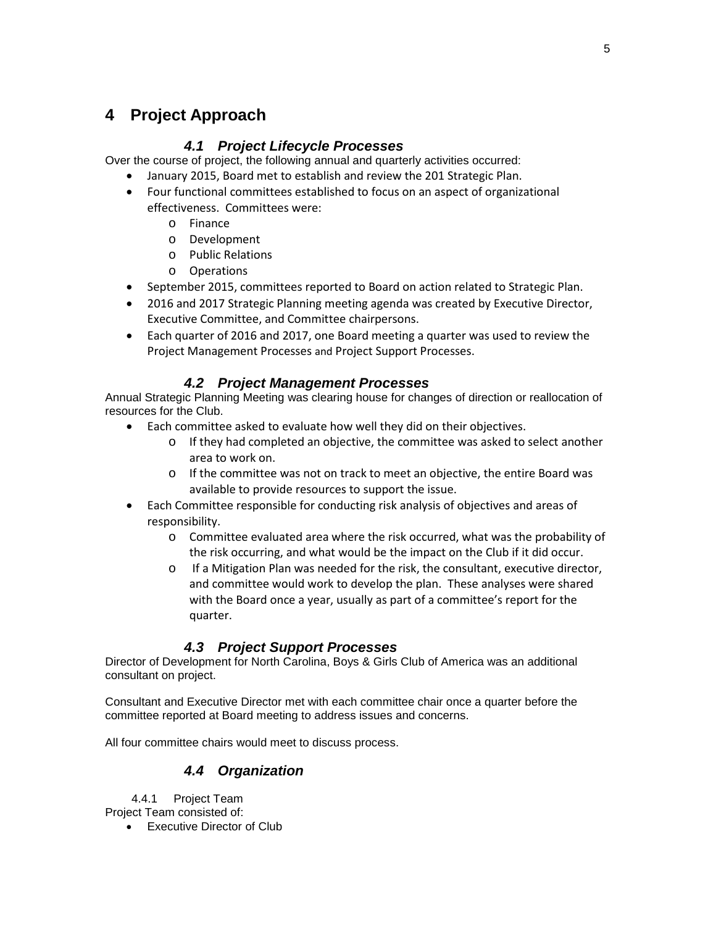# <span id="page-11-0"></span>**4 Project Approach**

### *4.1 Project Lifecycle Processes*

<span id="page-11-1"></span>Over the course of project, the following annual and quarterly activities occurred:

- January 2015, Board met to establish and review the 201 Strategic Plan.
- Four functional committees established to focus on an aspect of organizational effectiveness. Committees were:
	- o Finance
	- o Development
	- o Public Relations
	- o Operations
- September 2015, committees reported to Board on action related to Strategic Plan.
- 2016 and 2017 Strategic Planning meeting agenda was created by Executive Director, Executive Committee, and Committee chairpersons.
- Each quarter of 2016 and 2017, one Board meeting a quarter was used to review the Project Management Processes and Project Support Processes.

### *4.2 Project Management Processes*

<span id="page-11-2"></span>Annual Strategic Planning Meeting was clearing house for changes of direction or reallocation of resources for the Club.

- Each committee asked to evaluate how well they did on their objectives.
	- o If they had completed an objective, the committee was asked to select another area to work on.
	- o If the committee was not on track to meet an objective, the entire Board was available to provide resources to support the issue.
- Each Committee responsible for conducting risk analysis of objectives and areas of responsibility.
	- o Committee evaluated area where the risk occurred, what was the probability of the risk occurring, and what would be the impact on the Club if it did occur.
	- o If a Mitigation Plan was needed for the risk, the consultant, executive director, and committee would work to develop the plan. These analyses were shared with the Board once a year, usually as part of a committee's report for the quarter.

### *4.3 Project Support Processes*

<span id="page-11-3"></span>Director of Development for North Carolina, Boys & Girls Club of America was an additional consultant on project.

Consultant and Executive Director met with each committee chair once a quarter before the committee reported at Board meeting to address issues and concerns.

<span id="page-11-4"></span>All four committee chairs would meet to discuss process.

### *4.4 Organization*

<span id="page-11-5"></span>4.4.1 Project Team Project Team consisted of:

• Executive Director of Club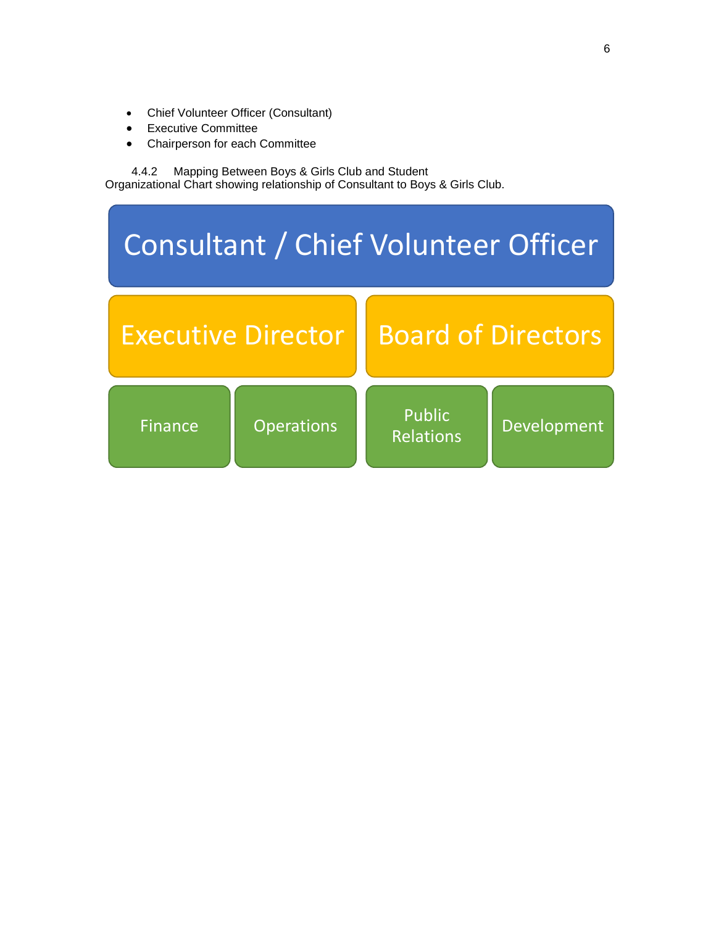- Chief Volunteer Officer (Consultant)
- Executive Committee
- Chairperson for each Committee

<span id="page-12-0"></span>4.4.2 Mapping Between Boys & Girls Club and Student Organizational Chart showing relationship of Consultant to Boys & Girls Club.

| Consultant / Chief Volunteer Officer |                           |                                   |                           |  |  |
|--------------------------------------|---------------------------|-----------------------------------|---------------------------|--|--|
|                                      | <b>Executive Director</b> |                                   | <b>Board of Directors</b> |  |  |
| <b>Finance</b>                       | <b>Operations</b>         | <b>Public</b><br><b>Relations</b> | Development               |  |  |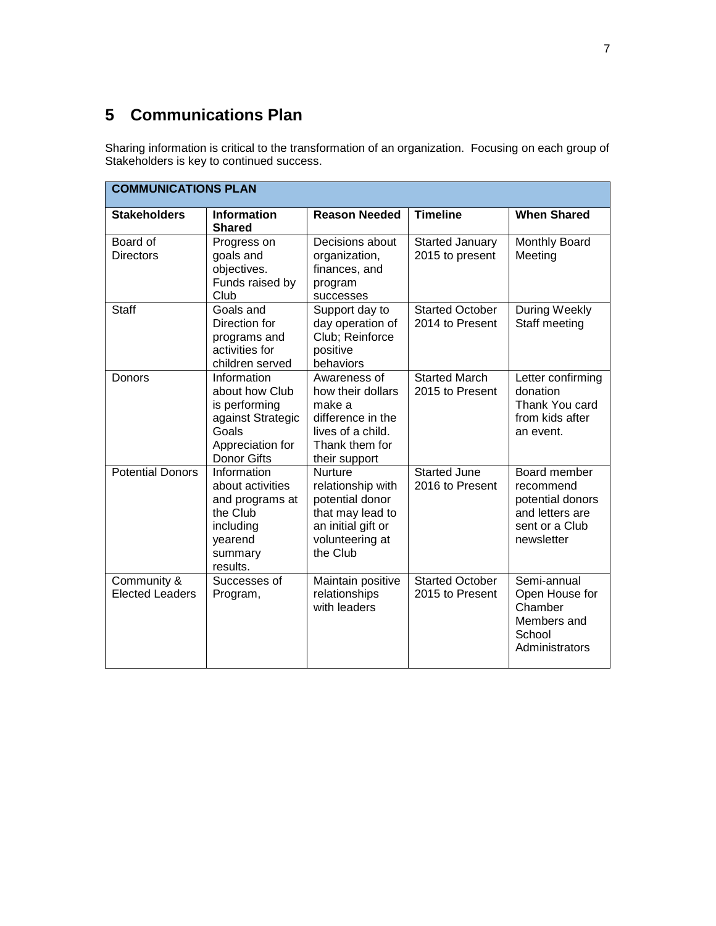# <span id="page-13-0"></span>**5 Communications Plan**

Sharing information is critical to the transformation of an organization. Focusing on each group of Stakeholders is key to continued success.

| <b>COMMUNICATIONS PLAN</b>            |                                                                                                                        |                                                                                                                                 |                                           |                                                                                                  |
|---------------------------------------|------------------------------------------------------------------------------------------------------------------------|---------------------------------------------------------------------------------------------------------------------------------|-------------------------------------------|--------------------------------------------------------------------------------------------------|
| <b>Stakeholders</b>                   | <b>Information</b><br><b>Shared</b>                                                                                    | <b>Reason Needed</b>                                                                                                            | <b>Timeline</b>                           | <b>When Shared</b>                                                                               |
| Board of<br><b>Directors</b>          | Progress on<br>goals and<br>objectives.<br>Funds raised by<br>Club                                                     | Decisions about<br>organization,<br>finances, and<br>program<br>successes                                                       | Started January<br>2015 to present        | Monthly Board<br>Meeting                                                                         |
| <b>Staff</b>                          | Goals and<br>Direction for<br>programs and<br>activities for<br>children served                                        | Support day to<br>day operation of<br>Club; Reinforce<br>positive<br>behaviors                                                  | <b>Started October</b><br>2014 to Present | During Weekly<br>Staff meeting                                                                   |
| Donors                                | Information<br>about how Club<br>is performing<br>against Strategic<br>Goals<br>Appreciation for<br><b>Donor Gifts</b> | Awareness of<br>how their dollars<br>make a<br>difference in the<br>lives of a child.<br>Thank them for<br>their support        | <b>Started March</b><br>2015 to Present   | Letter confirming<br>donation<br>Thank You card<br>from kids after<br>an event.                  |
| <b>Potential Donors</b>               | Information<br>about activities<br>and programs at<br>the Club<br>including<br>yearend<br>summary<br>results.          | <b>Nurture</b><br>relationship with<br>potential donor<br>that may lead to<br>an initial gift or<br>volunteering at<br>the Club | <b>Started June</b><br>2016 to Present    | Board member<br>recommend<br>potential donors<br>and letters are<br>sent or a Club<br>newsletter |
| Community &<br><b>Elected Leaders</b> | Successes of<br>Program,                                                                                               | Maintain positive<br>relationships<br>with leaders                                                                              | <b>Started October</b><br>2015 to Present | Semi-annual<br>Open House for<br>Chamber<br>Members and<br>School<br>Administrators              |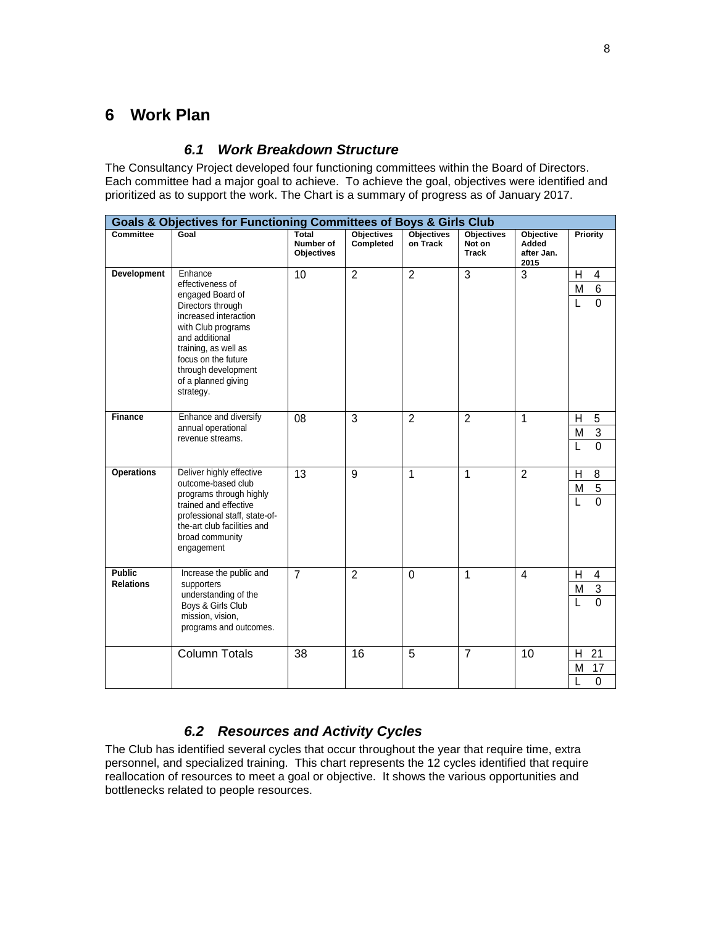# <span id="page-14-1"></span><span id="page-14-0"></span>**6 Work Plan**

### *6.1 Work Breakdown Structure*

The Consultancy Project developed four functioning committees within the Board of Directors. Each committee had a major goal to achieve. To achieve the goal, objectives were identified and prioritized as to support the work. The Chart is a summary of progress as of January 2017.

| <b>Goals &amp; Objectives for Functioning Committees of Boys &amp; Girls Club</b> |                                                                                                                                                                                                                                                 |                                  |                                |                               |                                      |                                          |                                                   |
|-----------------------------------------------------------------------------------|-------------------------------------------------------------------------------------------------------------------------------------------------------------------------------------------------------------------------------------------------|----------------------------------|--------------------------------|-------------------------------|--------------------------------------|------------------------------------------|---------------------------------------------------|
| <b>Committee</b>                                                                  | Goal                                                                                                                                                                                                                                            | Total<br>Number of<br>Objectives | <b>Objectives</b><br>Completed | <b>Objectives</b><br>on Track | <b>Objectives</b><br>Not on<br>Track | Objective<br>Added<br>after Jan.<br>2015 | Priority                                          |
| Development                                                                       | Enhance<br>effectiveness of<br>engaged Board of<br>Directors through<br>increased interaction<br>with Club programs<br>and additional<br>training, as well as<br>focus on the future<br>through development<br>of a planned giving<br>strategy. | 10                               | $\overline{2}$                 | $\overline{2}$                | 3                                    | 3                                        | H<br>4<br>$\,6\,$<br>M<br>$\mathbf 0$<br>L        |
| <b>Finance</b>                                                                    | Enhance and diversify<br>annual operational<br>revenue streams.                                                                                                                                                                                 | 08                               | 3                              | $\overline{2}$                | $\overline{2}$                       | 1                                        | 5<br>Н<br>$\sqrt{3}$<br>M<br>$\overline{0}$       |
| <b>Operations</b>                                                                 | Deliver highly effective<br>outcome-based club<br>programs through highly<br>trained and effective<br>professional staff, state-of-<br>the-art club facilities and<br>broad community<br>engagement                                             | 13                               | 9                              | 1                             | 1                                    | $\overline{2}$                           | 8<br>Η<br>$\overline{5}$<br>M<br>$\mathbf 0$<br>L |
| <b>Public</b><br><b>Relations</b>                                                 | Increase the public and<br>supporters<br>understanding of the<br>Boys & Girls Club<br>mission, vision,<br>programs and outcomes.                                                                                                                | $\overline{7}$                   | $\overline{2}$                 | $\mathbf{0}$                  | 1                                    | $\overline{4}$                           | H<br>4<br>$\overline{3}$<br>M<br>$\mathbf 0$      |
|                                                                                   | Column Totals                                                                                                                                                                                                                                   | 38                               | 16                             | 5                             | $\overline{7}$                       | 10                                       | 21<br>H<br>17<br>M<br>$\mathbf 0$                 |

### *6.2 Resources and Activity Cycles*

<span id="page-14-2"></span>The Club has identified several cycles that occur throughout the year that require time, extra personnel, and specialized training. This chart represents the 12 cycles identified that require reallocation of resources to meet a goal or objective. It shows the various opportunities and bottlenecks related to people resources.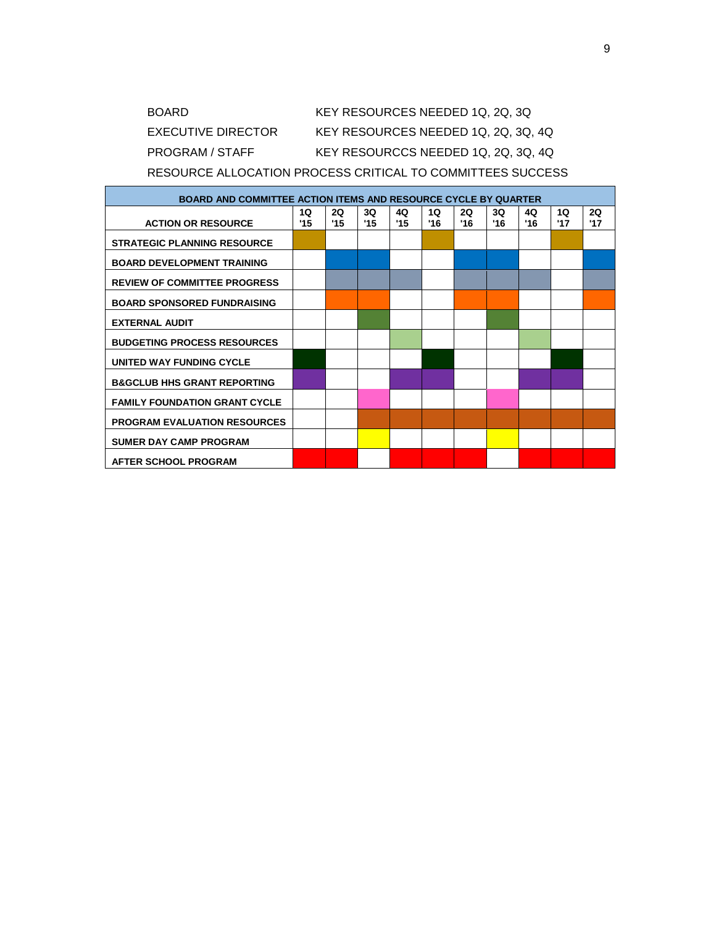| BOARD.             | KEY RESOURCES NEEDED 1Q. 2Q. 3Q                            |
|--------------------|------------------------------------------------------------|
| EXECUTIVE DIRECTOR | KEY RESOURCES NEEDED 1Q, 2Q, 3Q, 4Q                        |
| PROGRAM / STAFF    | KEY RESOURCCS NEEDED 1Q, 2Q, 3Q, 4Q                        |
|                    | RESOURCE ALLOCATION PROCESS CRITICAL TO COMMITTEES SUCCESS |

| <b>BOARD AND COMMITTEE ACTION ITEMS AND RESOURCE CYCLE BY QUARTER</b> |           |           |           |           |           |           |           |           |          |           |
|-----------------------------------------------------------------------|-----------|-----------|-----------|-----------|-----------|-----------|-----------|-----------|----------|-----------|
| <b>ACTION OR RESOURCE</b>                                             | 1Q<br>115 | 2Q<br>'15 | 3Q<br>'15 | 4Q<br>'15 | 1Q<br>'16 | 2Q<br>'16 | 3Q<br>'16 | 4Q<br>'16 | 1Q<br>17 | 2Q<br>'17 |
| <b>STRATEGIC PLANNING RESOURCE</b>                                    |           |           |           |           |           |           |           |           |          |           |
| <b>BOARD DEVELOPMENT TRAINING</b>                                     |           |           |           |           |           |           |           |           |          |           |
| <b>REVIEW OF COMMITTEE PROGRESS</b>                                   |           |           |           |           |           |           |           |           |          |           |
| <b>BOARD SPONSORED FUNDRAISING</b>                                    |           |           |           |           |           |           |           |           |          |           |
| <b>EXTERNAL AUDIT</b>                                                 |           |           |           |           |           |           |           |           |          |           |
| <b>BUDGETING PROCESS RESOURCES</b>                                    |           |           |           |           |           |           |           |           |          |           |
| UNITED WAY FUNDING CYCLE                                              |           |           |           |           |           |           |           |           |          |           |
| <b>B&amp;GCLUB HHS GRANT REPORTING</b>                                |           |           |           |           |           |           |           |           |          |           |
| <b>FAMILY FOUNDATION GRANT CYCLE</b>                                  |           |           |           |           |           |           |           |           |          |           |
| <b>PROGRAM EVALUATION RESOURCES</b>                                   |           |           |           |           |           |           |           |           |          |           |
| <b>SUMER DAY CAMP PROGRAM</b>                                         |           |           |           |           |           |           |           |           |          |           |
| AFTER SCHOOL PROGRAM                                                  |           |           |           |           |           |           |           |           |          |           |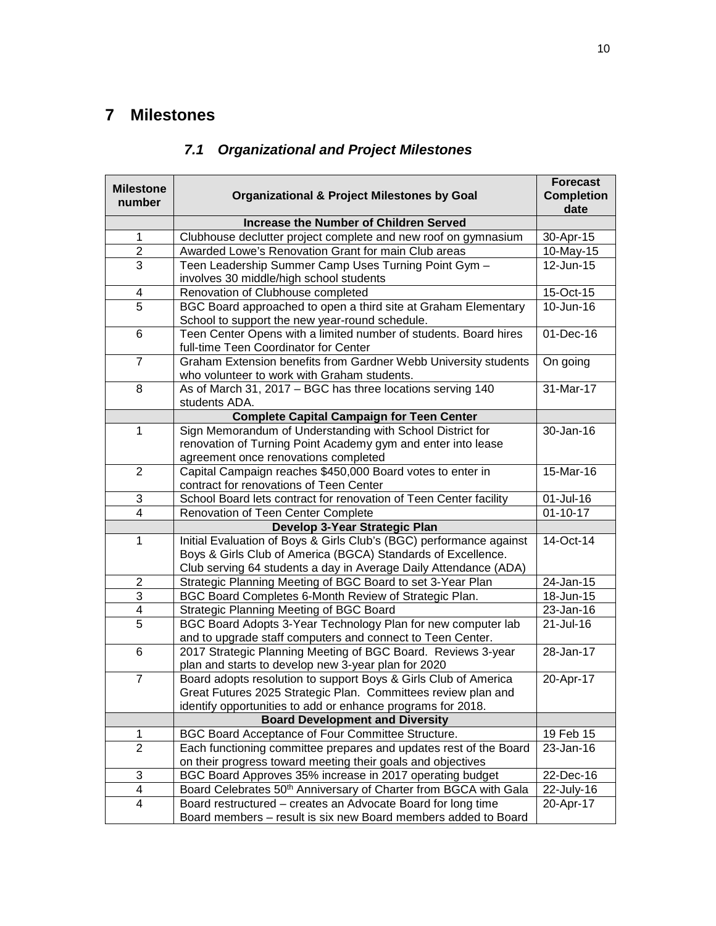# <span id="page-16-1"></span><span id="page-16-0"></span>**7 Milestones**

| <b>Milestone</b><br>number | <b>Organizational &amp; Project Milestones by Goal</b>                                                                                                                                                  | <b>Forecast</b><br><b>Completion</b> |
|----------------------------|---------------------------------------------------------------------------------------------------------------------------------------------------------------------------------------------------------|--------------------------------------|
|                            |                                                                                                                                                                                                         | date                                 |
|                            | Increase the Number of Children Served                                                                                                                                                                  |                                      |
| 1                          | Clubhouse declutter project complete and new roof on gymnasium                                                                                                                                          | 30-Apr-15                            |
| $\overline{c}$             | Awarded Lowe's Renovation Grant for main Club areas                                                                                                                                                     | 10-May-15                            |
| 3                          | Teen Leadership Summer Camp Uses Turning Point Gym -<br>involves 30 middle/high school students                                                                                                         | 12-Jun-15                            |
| 4                          | Renovation of Clubhouse completed                                                                                                                                                                       | 15-Oct-15                            |
| $\overline{5}$             | BGC Board approached to open a third site at Graham Elementary<br>School to support the new year-round schedule.                                                                                        | 10-Jun-16                            |
| 6                          | Teen Center Opens with a limited number of students. Board hires<br>full-time Teen Coordinator for Center                                                                                               | 01-Dec-16                            |
| $\overline{7}$             | Graham Extension benefits from Gardner Webb University students<br>who volunteer to work with Graham students.                                                                                          | On going                             |
| 8                          | As of March 31, 2017 - BGC has three locations serving 140<br>students ADA.                                                                                                                             | 31-Mar-17                            |
|                            | <b>Complete Capital Campaign for Teen Center</b>                                                                                                                                                        |                                      |
| 1                          | Sign Memorandum of Understanding with School District for<br>renovation of Turning Point Academy gym and enter into lease<br>agreement once renovations completed                                       | 30-Jan-16                            |
| $\overline{2}$             | Capital Campaign reaches \$450,000 Board votes to enter in<br>contract for renovations of Teen Center                                                                                                   | 15-Mar-16                            |
| 3                          | School Board lets contract for renovation of Teen Center facility                                                                                                                                       | 01-Jul-16                            |
| 4                          | Renovation of Teen Center Complete                                                                                                                                                                      | $01 - 10 - 17$                       |
|                            | Develop 3-Year Strategic Plan                                                                                                                                                                           |                                      |
| 1                          | Initial Evaluation of Boys & Girls Club's (BGC) performance against<br>Boys & Girls Club of America (BGCA) Standards of Excellence.<br>Club serving 64 students a day in Average Daily Attendance (ADA) | 14-Oct-14                            |
| 2                          | Strategic Planning Meeting of BGC Board to set 3-Year Plan                                                                                                                                              | 24-Jan-15                            |
| 3                          | BGC Board Completes 6-Month Review of Strategic Plan.                                                                                                                                                   | 18-Jun-15                            |
| 4                          | <b>Strategic Planning Meeting of BGC Board</b>                                                                                                                                                          | 23-Jan-16                            |
| $\overline{5}$             | BGC Board Adopts 3-Year Technology Plan for new computer lab<br>and to upgrade staff computers and connect to Teen Center.                                                                              | 21-Jul-16                            |
| 6                          | 2017 Strategic Planning Meeting of BGC Board. Reviews 3-year<br>plan and starts to develop new 3-year plan for 2020                                                                                     | $28 - Jan - 17$                      |
| $\overline{7}$             | Board adopts resolution to support Boys & Girls Club of America<br>Great Futures 2025 Strategic Plan. Committees review plan and<br>identify opportunities to add or enhance programs for 2018.         | 20-Apr-17                            |
|                            | <b>Board Development and Diversity</b>                                                                                                                                                                  |                                      |
| 1                          | BGC Board Acceptance of Four Committee Structure.                                                                                                                                                       | 19 Feb 15                            |
| $\overline{2}$             | Each functioning committee prepares and updates rest of the Board<br>on their progress toward meeting their goals and objectives                                                                        | 23-Jan-16                            |
| 3                          | BGC Board Approves 35% increase in 2017 operating budget                                                                                                                                                | 22-Dec-16                            |
| 4                          | Board Celebrates 50 <sup>th</sup> Anniversary of Charter from BGCA with Gala                                                                                                                            | 22-July-16                           |
| 4                          | Board restructured - creates an Advocate Board for long time<br>Board members - result is six new Board members added to Board                                                                          | 20-Apr-17                            |

# *7.1 Organizational and Project Milestones*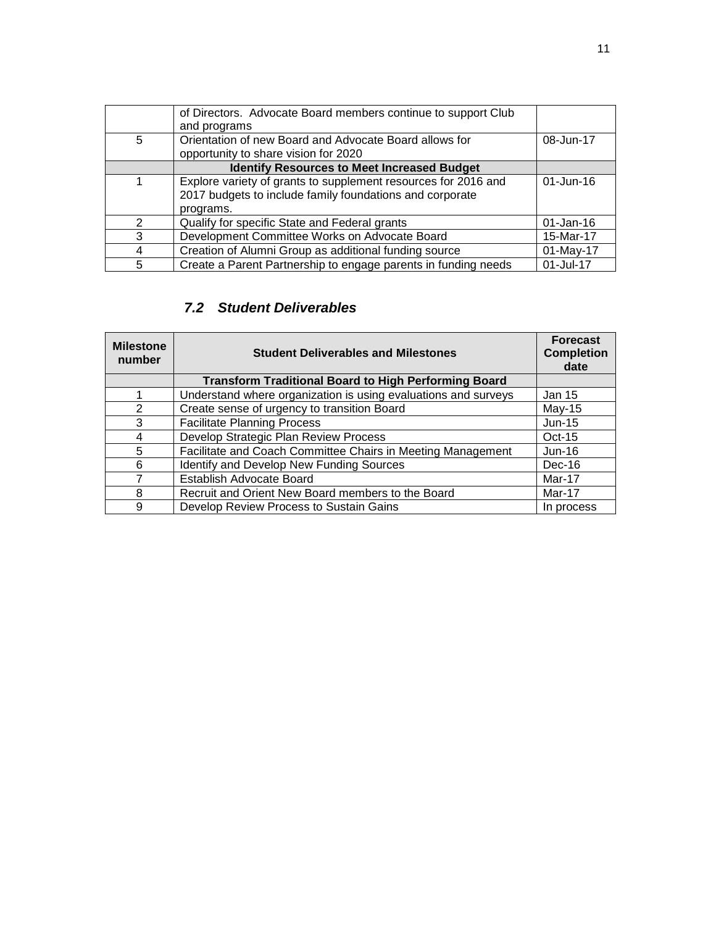|                | of Directors. Advocate Board members continue to support Club<br>and programs                                                           |              |
|----------------|-----------------------------------------------------------------------------------------------------------------------------------------|--------------|
| 5              | Orientation of new Board and Advocate Board allows for<br>opportunity to share vision for 2020                                          | 08-Jun-17    |
|                | <b>Identify Resources to Meet Increased Budget</b>                                                                                      |              |
| 1              | Explore variety of grants to supplement resources for 2016 and<br>2017 budgets to include family foundations and corporate<br>programs. | 01-Jun-16    |
| 2              | Qualify for specific State and Federal grants                                                                                           | $01$ -Jan-16 |
| 3              | Development Committee Works on Advocate Board                                                                                           | 15-Mar-17    |
| $\overline{4}$ | Creation of Alumni Group as additional funding source                                                                                   | $01-May-17$  |
| 5              | Create a Parent Partnership to engage parents in funding needs                                                                          | 01-Jul-17    |

### *7.2 Student Deliverables*

<span id="page-17-0"></span>

| <b>Milestone</b><br>number | <b>Student Deliverables and Milestones</b>                     | <b>Forecast</b><br><b>Completion</b><br>date |
|----------------------------|----------------------------------------------------------------|----------------------------------------------|
|                            | <b>Transform Traditional Board to High Performing Board</b>    |                                              |
|                            | Understand where organization is using evaluations and surveys | <b>Jan 15</b>                                |
| 2                          | Create sense of urgency to transition Board                    | May-15                                       |
| 3                          | <b>Facilitate Planning Process</b>                             | $Jun-15$                                     |
| 4                          | Develop Strategic Plan Review Process                          | $Oct-15$                                     |
| 5                          | Facilitate and Coach Committee Chairs in Meeting Management    | $Jun-16$                                     |
| 6                          | <b>Identify and Develop New Funding Sources</b>                | Dec-16                                       |
| 7                          | Establish Advocate Board                                       | Mar-17                                       |
| 8                          | Recruit and Orient New Board members to the Board              | Mar-17                                       |
| 9                          | Develop Review Process to Sustain Gains                        | In process                                   |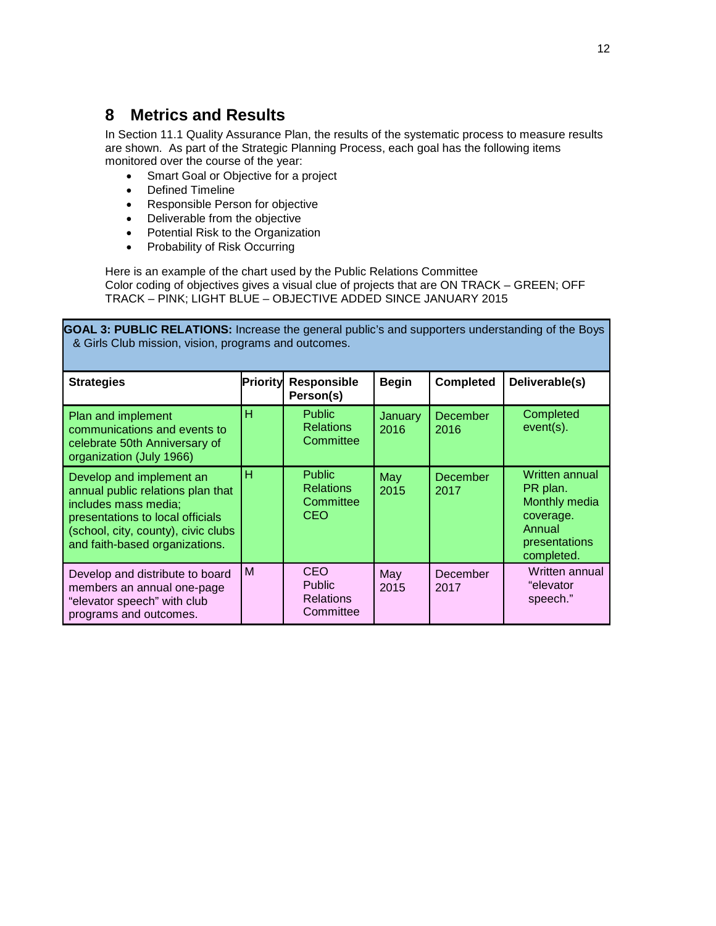# <span id="page-18-0"></span>**8 Metrics and Results**

In Section 11.1 Quality Assurance Plan, the results of the systematic process to measure results are shown. As part of the Strategic Planning Process, each goal has the following items monitored over the course of the year:

- Smart Goal or Objective for a project
- Defined Timeline
- Responsible Person for objective
- Deliverable from the objective
- Potential Risk to the Organization
- Probability of Risk Occurring

Here is an example of the chart used by the Public Relations Committee Color coding of objectives gives a visual clue of projects that are ON TRACK – GREEN; OFF TRACK – PINK; LIGHT BLUE – OBJECTIVE ADDED SINCE JANUARY 2015

**GOAL 3: PUBLIC RELATIONS:** Increase the general public's and supporters understanding of the Boys & Girls Club mission, vision, programs and outcomes.

| <b>Strategies</b>                                                                                                                                                                                  | Priority | Responsible<br>Person(s)                                     | <b>Begin</b>    | <b>Completed</b>        | Deliverable(s)                                                                                    |
|----------------------------------------------------------------------------------------------------------------------------------------------------------------------------------------------------|----------|--------------------------------------------------------------|-----------------|-------------------------|---------------------------------------------------------------------------------------------------|
| Plan and implement<br>communications and events to<br>celebrate 50th Anniversary of<br>organization (July 1966)                                                                                    | н        | <b>Public</b><br><b>Relations</b><br>Committee               | January<br>2016 | <b>December</b><br>2016 | Completed<br>$event(s)$ .                                                                         |
| Develop and implement an<br>annual public relations plan that<br>includes mass media;<br>presentations to local officials<br>(school, city, county), civic clubs<br>and faith-based organizations. | н        | <b>Public</b><br><b>Relations</b><br>Committee<br>CEO        | May<br>2015     | December<br>2017        | Written annual<br>PR plan.<br>Monthly media<br>coverage.<br>Annual<br>presentations<br>completed. |
| Develop and distribute to board<br>members an annual one-page<br>"elevator speech" with club<br>programs and outcomes.                                                                             | M        | <b>CEO</b><br><b>Public</b><br><b>Relations</b><br>Committee | May<br>2015     | December<br>2017        | Written annual<br>"elevator<br>speech."                                                           |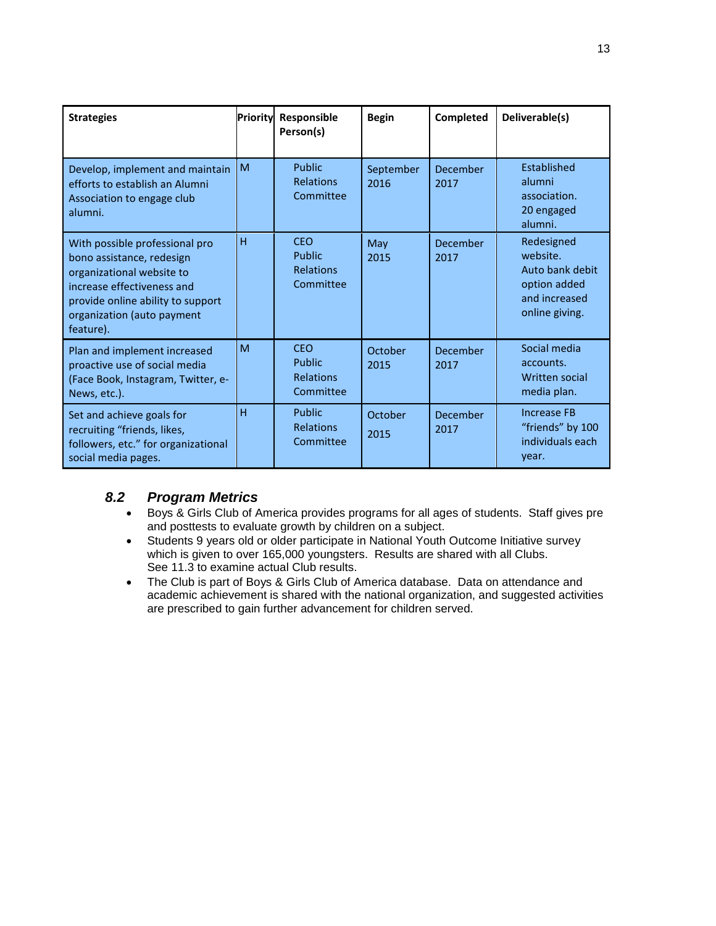| <b>Strategies</b>                                                                                                                                                                                      | Priority | Responsible<br>Person(s)                              | <b>Begin</b>      | Completed        | Deliverable(s)                                                                               |
|--------------------------------------------------------------------------------------------------------------------------------------------------------------------------------------------------------|----------|-------------------------------------------------------|-------------------|------------------|----------------------------------------------------------------------------------------------|
| Develop, implement and maintain<br>efforts to establish an Alumni<br>Association to engage club<br>alumni.                                                                                             | M        | Public<br><b>Relations</b><br>Committee               | September<br>2016 | December<br>2017 | Established<br>alumni<br>association.<br>20 engaged<br>alumni.                               |
| With possible professional pro<br>bono assistance, redesign<br>organizational website to<br>increase effectiveness and<br>provide online ability to support<br>organization (auto payment<br>feature). | H        | <b>CFO</b><br>Public<br><b>Relations</b><br>Committee | May<br>2015       | December<br>2017 | Redesigned<br>website.<br>Auto bank debit<br>option added<br>and increased<br>online giving. |
| Plan and implement increased<br>proactive use of social media<br>(Face Book, Instagram, Twitter, e-<br>News, etc.).                                                                                    | M        | <b>CFO</b><br>Public<br><b>Relations</b><br>Committee | October<br>2015   | December<br>2017 | Social media<br>accounts.<br><b>Written social</b><br>media plan.                            |
| Set and achieve goals for<br>recruiting "friends, likes,<br>followers, etc." for organizational<br>social media pages.                                                                                 | H        | Public<br><b>Relations</b><br>Committee               | October<br>2015   | December<br>2017 | <b>Increase FB</b><br>"friends" by 100<br>individuals each<br>year.                          |

### *8.2 Program Metrics*

- Boys & Girls Club of America provides programs for all ages of students. Staff gives pre and posttests to evaluate growth by children on a subject.
- Students 9 years old or older participate in National Youth Outcome Initiative survey which is given to over 165,000 youngsters. Results are shared with all Clubs. See 11.3 to examine actual Club results.
- The Club is part of Boys & Girls Club of America database. Data on attendance and academic achievement is shared with the national organization, and suggested activities are prescribed to gain further advancement for children served.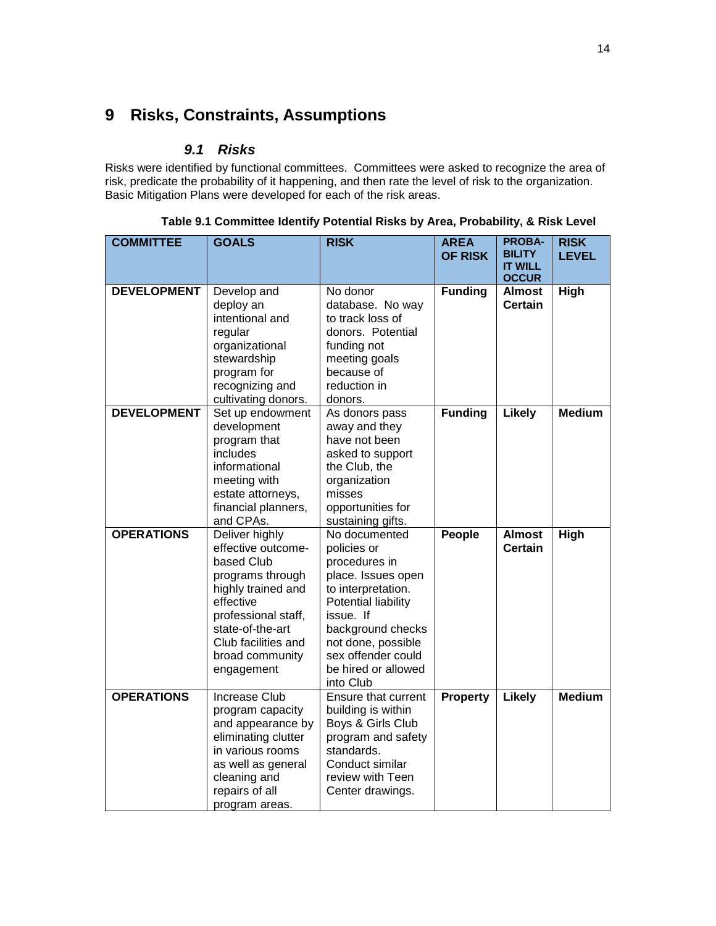# <span id="page-20-1"></span><span id="page-20-0"></span>**9 Risks, Constraints, Assumptions**

### *9.1 Risks*

Risks were identified by functional committees. Committees were asked to recognize the area of risk, predicate the probability of it happening, and then rate the level of risk to the organization. Basic Mitigation Plans were developed for each of the risk areas.

| <b>COMMITTEE</b>   | <b>GOALS</b>                                                                                                                                                                                                 | <b>RISK</b>                                                                                                                                                                                                                        | <b>AREA</b><br><b>OF RISK</b> | <b>PROBA-</b><br><b>BILITY</b><br><b>IT WILL</b> | <b>RISK</b><br><b>LEVEL</b> |
|--------------------|--------------------------------------------------------------------------------------------------------------------------------------------------------------------------------------------------------------|------------------------------------------------------------------------------------------------------------------------------------------------------------------------------------------------------------------------------------|-------------------------------|--------------------------------------------------|-----------------------------|
| <b>DEVELOPMENT</b> | Develop and<br>deploy an<br>intentional and<br>regular<br>organizational<br>stewardship<br>program for<br>recognizing and<br>cultivating donors.                                                             | No donor<br>database. No way<br>to track loss of<br>donors. Potential<br>funding not<br>meeting goals<br>because of<br>reduction in<br>donors.                                                                                     | <b>Funding</b>                | <b>OCCUR</b><br><b>Almost</b><br><b>Certain</b>  | High                        |
| <b>DEVELOPMENT</b> | Set up endowment<br>development<br>program that<br>includes<br>informational<br>meeting with<br>estate attorneys,<br>financial planners,<br>and CPAs.                                                        | As donors pass<br>away and they<br>have not been<br>asked to support<br>the Club, the<br>organization<br>misses<br>opportunities for<br>sustaining gifts.                                                                          | <b>Funding</b>                | Likely                                           | <b>Medium</b>               |
| <b>OPERATIONS</b>  | Deliver highly<br>effective outcome-<br>based Club<br>programs through<br>highly trained and<br>effective<br>professional staff,<br>state-of-the-art<br>Club facilities and<br>broad community<br>engagement | No documented<br>policies or<br>procedures in<br>place. Issues open<br>to interpretation.<br>Potential liability<br>issue. If<br>background checks<br>not done, possible<br>sex offender could<br>be hired or allowed<br>into Club | <b>People</b>                 | <b>Almost</b><br><b>Certain</b>                  | <b>High</b>                 |
| <b>OPERATIONS</b>  | <b>Increase Club</b><br>program capacity<br>and appearance by<br>eliminating clutter<br>in various rooms<br>as well as general<br>cleaning and<br>repairs of all<br>program areas.                           | Ensure that current<br>building is within<br>Boys & Girls Club<br>program and safety<br>standards.<br>Conduct similar<br>review with Teen<br>Center drawings.                                                                      | <b>Property</b>               | Likely                                           | <b>Medium</b>               |

**Table 9.1 Committee Identify Potential Risks by Area, Probability, & Risk Level**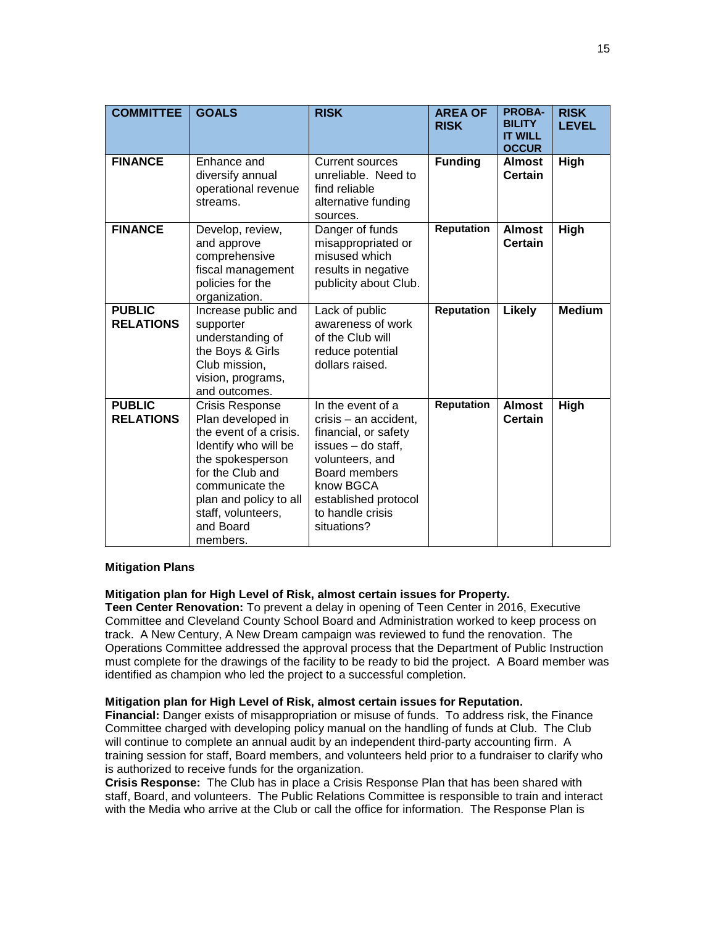| <b>COMMITTEE</b>                  | <b>GOALS</b>                                                                                                                                                                                                                      | <b>RISK</b>                                                                                                                                                                                          | <b>AREA OF</b><br><b>RISK</b> | <b>PROBA-</b><br><b>BILITY</b><br><b>IT WILL</b> | <b>RISK</b><br><b>LEVEL</b> |
|-----------------------------------|-----------------------------------------------------------------------------------------------------------------------------------------------------------------------------------------------------------------------------------|------------------------------------------------------------------------------------------------------------------------------------------------------------------------------------------------------|-------------------------------|--------------------------------------------------|-----------------------------|
| <b>FINANCE</b>                    | Enhance and<br>diversify annual<br>operational revenue<br>streams.                                                                                                                                                                | <b>Current sources</b><br>unreliable. Need to<br>find reliable<br>alternative funding<br>sources.                                                                                                    | <b>Funding</b>                | <b>OCCUR</b><br><b>Almost</b><br><b>Certain</b>  | High                        |
| <b>FINANCE</b>                    | Develop, review,<br>and approve<br>comprehensive<br>fiscal management<br>policies for the<br>organization.                                                                                                                        | Danger of funds<br>misappropriated or<br>misused which<br>results in negative<br>publicity about Club.                                                                                               | <b>Reputation</b>             | <b>Almost</b><br><b>Certain</b>                  | High                        |
| <b>PUBLIC</b><br><b>RELATIONS</b> | Increase public and<br>supporter<br>understanding of<br>the Boys & Girls<br>Club mission,<br>vision, programs,<br>and outcomes.                                                                                                   | Lack of public<br>awareness of work<br>of the Club will<br>reduce potential<br>dollars raised.                                                                                                       | <b>Reputation</b>             | Likely                                           | <b>Medium</b>               |
| <b>PUBLIC</b><br><b>RELATIONS</b> | <b>Crisis Response</b><br>Plan developed in<br>the event of a crisis.<br>Identify who will be<br>the spokesperson<br>for the Club and<br>communicate the<br>plan and policy to all<br>staff, volunteers,<br>and Board<br>members. | In the event of a<br>crisis - an accident,<br>financial, or safety<br>issues - do staff,<br>volunteers, and<br>Board members<br>know BGCA<br>established protocol<br>to handle crisis<br>situations? | <b>Reputation</b>             | <b>Almost</b><br><b>Certain</b>                  | High                        |

#### **Mitigation Plans**

#### **Mitigation plan for High Level of Risk, almost certain issues for Property.**

**Teen Center Renovation:** To prevent a delay in opening of Teen Center in 2016, Executive Committee and Cleveland County School Board and Administration worked to keep process on track. A New Century, A New Dream campaign was reviewed to fund the renovation. The Operations Committee addressed the approval process that the Department of Public Instruction must complete for the drawings of the facility to be ready to bid the project. A Board member was identified as champion who led the project to a successful completion.

#### **Mitigation plan for High Level of Risk, almost certain issues for Reputation.**

**Financial:** Danger exists of misappropriation or misuse of funds. To address risk, the Finance Committee charged with developing policy manual on the handling of funds at Club. The Club will continue to complete an annual audit by an independent third-party accounting firm. A training session for staff, Board members, and volunteers held prior to a fundraiser to clarify who is authorized to receive funds for the organization.

**Crisis Response:** The Club has in place a Crisis Response Plan that has been shared with staff, Board, and volunteers. The Public Relations Committee is responsible to train and interact with the Media who arrive at the Club or call the office for information. The Response Plan is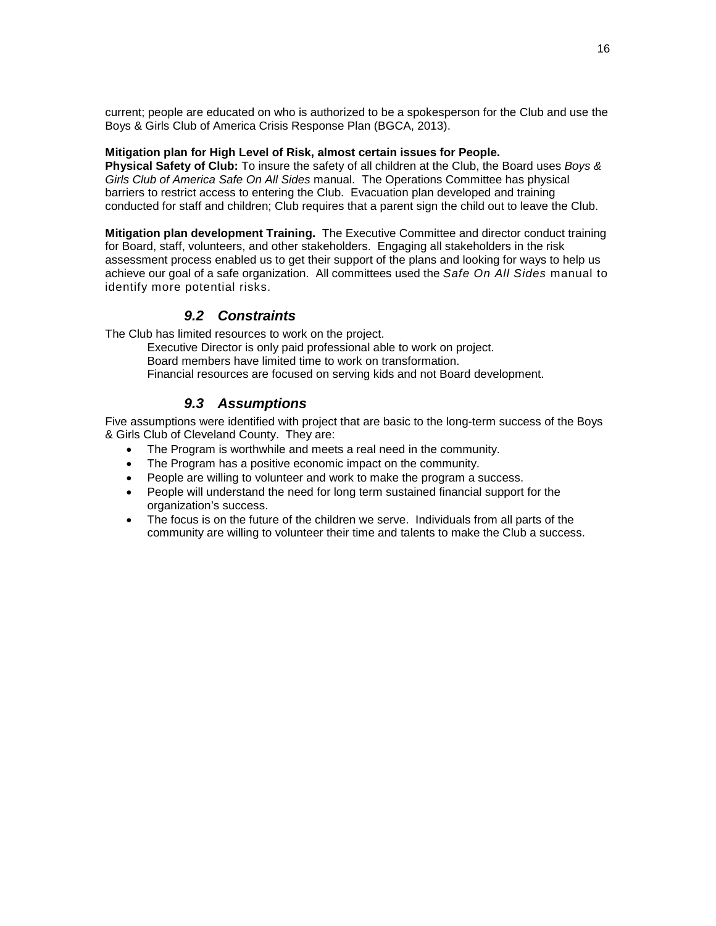current; people are educated on who is authorized to be a spokesperson for the Club and use the Boys & Girls Club of America Crisis Response Plan (BGCA, 2013).

#### **Mitigation plan for High Level of Risk, almost certain issues for People.**

**Physical Safety of Club:** To insure the safety of all children at the Club, the Board uses *Boys & Girls Club of America Safe On All Sides* manual. The Operations Committee has physical barriers to restrict access to entering the Club. Evacuation plan developed and training conducted for staff and children; Club requires that a parent sign the child out to leave the Club.

**Mitigation plan development Training.** The Executive Committee and director conduct training for Board, staff, volunteers, and other stakeholders. Engaging all stakeholders in the risk assessment process enabled us to get their support of the plans and looking for ways to help us achieve our goal of a safe organization. All committees used the *Safe On All Sides* manual to identify more potential risks.

#### *9.2 Constraints*

<span id="page-22-0"></span>The Club has limited resources to work on the project.

Executive Director is only paid professional able to work on project. Board members have limited time to work on transformation.

Financial resources are focused on serving kids and not Board development.

#### *9.3 Assumptions*

<span id="page-22-1"></span>Five assumptions were identified with project that are basic to the long-term success of the Boys & Girls Club of Cleveland County. They are:

- The Program is worthwhile and meets a real need in the community.
- The Program has a positive economic impact on the community.
- People are willing to volunteer and work to make the program a success.
- People will understand the need for long term sustained financial support for the organization's success.
- The focus is on the future of the children we serve. Individuals from all parts of the community are willing to volunteer their time and talents to make the Club a success.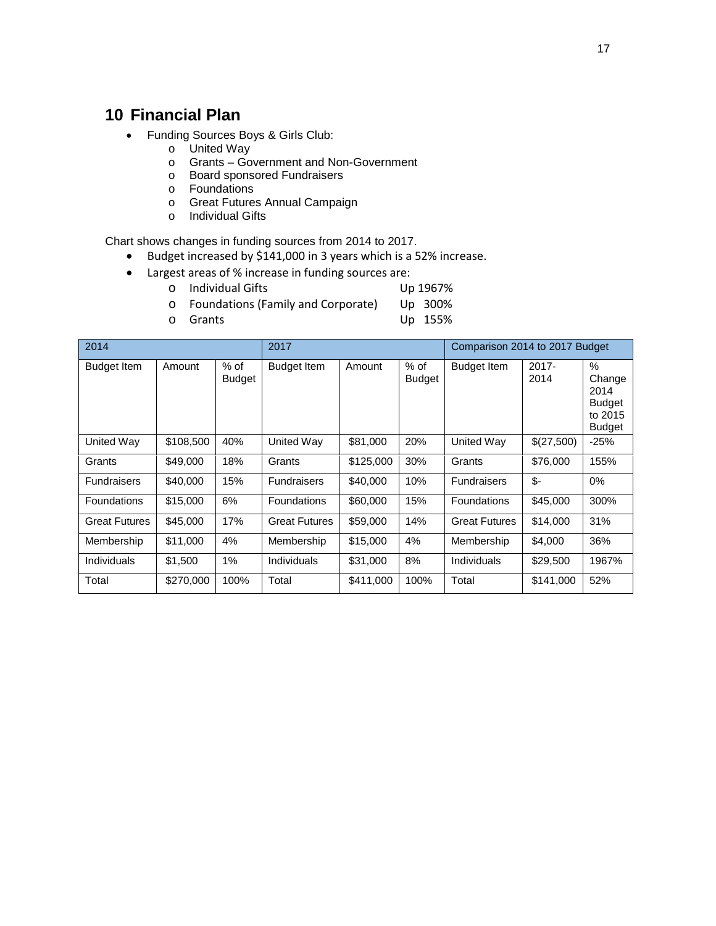# <span id="page-23-0"></span>**10 Financial Plan**

- Funding Sources Boys & Girls Club:
	- o United Way
	- o Grants Government and Non-Government
	- o Board sponsored Fundraisers
	- o Foundations
	- o Great Futures Annual Campaign
	- o Individual Gifts

Chart shows changes in funding sources from 2014 to 2017.

- Budget increased by \$141,000 in 3 years which is a 52% increase.
- Largest areas of % increase in funding sources are:
	- o Individual Gifts Up 1967%<br>
	o Foundations (Family and Corporate) Up 300%
	- $\circ$  Foundations (Family and Corporate)<br>  $\circ$  Grants

Up 155%

| 2014                 |           |                         | 2017                 |           |                         | Comparison 2014 to 2017 Budget |                  |                                                                     |
|----------------------|-----------|-------------------------|----------------------|-----------|-------------------------|--------------------------------|------------------|---------------------------------------------------------------------|
| <b>Budget Item</b>   | Amount    | $%$ of<br><b>Budget</b> | <b>Budget Item</b>   | Amount    | $%$ of<br><b>Budget</b> | <b>Budget Item</b>             | $2017 -$<br>2014 | $\%$<br>Change<br>2014<br><b>Budget</b><br>to 2015<br><b>Budget</b> |
| United Way           | \$108,500 | 40%                     | United Way           | \$81,000  | 20%                     | United Way                     | \$(27,500)       | $-25%$                                                              |
| Grants               | \$49,000  | 18%                     | Grants               | \$125,000 | 30%                     | Grants                         | \$76,000         | 155%                                                                |
| <b>Fundraisers</b>   | \$40,000  | 15%                     | <b>Fundraisers</b>   | \$40,000  | 10%                     | Fundraisers                    | $$-$             | 0%                                                                  |
| <b>Foundations</b>   | \$15,000  | 6%                      | <b>Foundations</b>   | \$60,000  | 15%                     | <b>Foundations</b>             | \$45,000         | 300%                                                                |
| <b>Great Futures</b> | \$45,000  | 17%                     | <b>Great Futures</b> | \$59,000  | 14%                     | <b>Great Futures</b>           | \$14,000         | 31%                                                                 |
| Membership           | \$11,000  | 4%                      | Membership           | \$15,000  | 4%                      | Membership                     | \$4,000          | 36%                                                                 |
| <b>Individuals</b>   | \$1,500   | 1%                      | <b>Individuals</b>   | \$31,000  | 8%                      | <b>Individuals</b>             | \$29,500         | 1967%                                                               |
| Total                | \$270,000 | 100%                    | Total                | \$411,000 | 100%                    | Total                          | \$141,000        | 52%                                                                 |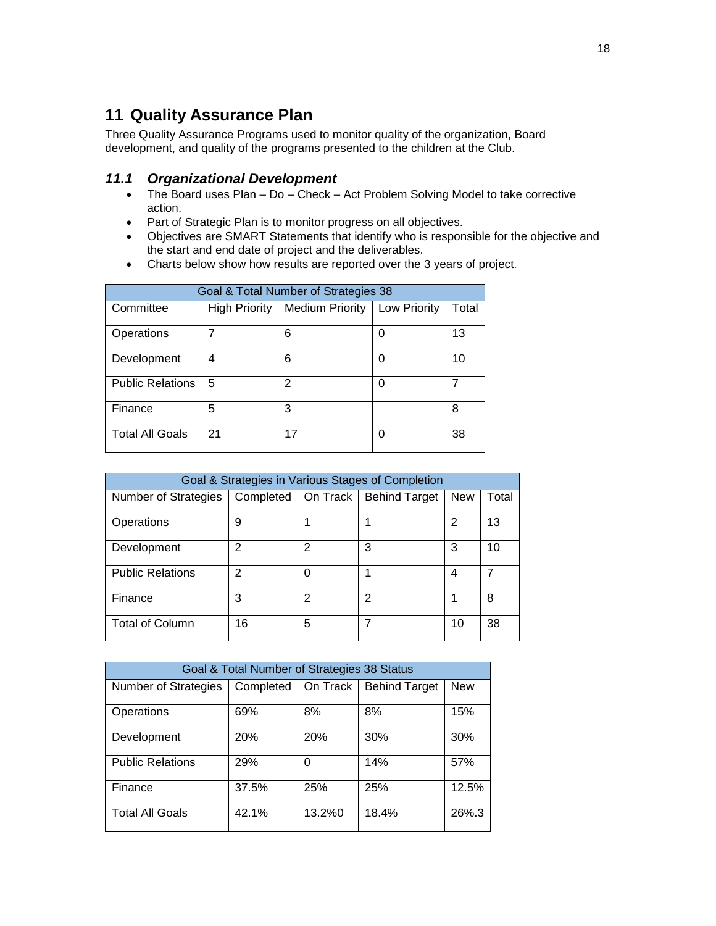# <span id="page-24-0"></span>**11 Quality Assurance Plan**

Three Quality Assurance Programs used to monitor quality of the organization, Board development, and quality of the programs presented to the children at the Club.

### *11.1 Organizational Development*

- The Board uses Plan Do Check Act Problem Solving Model to take corrective action.
- Part of Strategic Plan is to monitor progress on all objectives.
- Objectives are SMART Statements that identify who is responsible for the objective and the start and end date of project and the deliverables.
- Charts below show how results are reported over the 3 years of project.

| Goal & Total Number of Strategies 38 |                      |                        |              |       |  |  |
|--------------------------------------|----------------------|------------------------|--------------|-------|--|--|
| Committee                            | <b>High Priority</b> | <b>Medium Priority</b> | Low Priority | Total |  |  |
| Operations                           |                      | 6                      | O            | 13    |  |  |
| Development                          | 4                    | 6                      | 0            | 10    |  |  |
| <b>Public Relations</b>              | 5                    | 2                      | 0            |       |  |  |
| Finance                              | 5                    | 3                      |              | 8     |  |  |
| <b>Total All Goals</b>               | 21                   | 17                     | 0            | 38    |  |  |

| Goal & Strategies in Various Stages of Completion |           |          |                      |            |       |  |
|---------------------------------------------------|-----------|----------|----------------------|------------|-------|--|
| Number of Strategies                              | Completed | On Track | <b>Behind Target</b> | <b>New</b> | Total |  |
| Operations                                        | 9         |          |                      | 2          | 13    |  |
| Development                                       | 2         | 2        | 3                    | 3          | 10    |  |
| <b>Public Relations</b>                           | 2         | 0        |                      | 4          |       |  |
| Finance                                           | 3         | 2        | 2                    |            | 8     |  |
| <b>Total of Column</b>                            | 16        | 5        |                      | 10         | 38    |  |

| Goal & Total Number of Strategies 38 Status |           |          |                      |            |  |  |  |
|---------------------------------------------|-----------|----------|----------------------|------------|--|--|--|
| <b>Number of Strategies</b>                 | Completed | On Track | <b>Behind Target</b> | <b>New</b> |  |  |  |
| Operations                                  | 69%       | 8%       | 8%                   | 15%        |  |  |  |
| Development                                 | 20%       | 20%      | 30%                  | 30%        |  |  |  |
| <b>Public Relations</b>                     | 29%       | 0        | 14%                  | 57%        |  |  |  |
| Finance                                     | 37.5%     | 25%      | 25%                  | 12.5%      |  |  |  |
| <b>Total All Goals</b>                      | 42.1%     | 13.2%0   | 18.4%                | 26%.3      |  |  |  |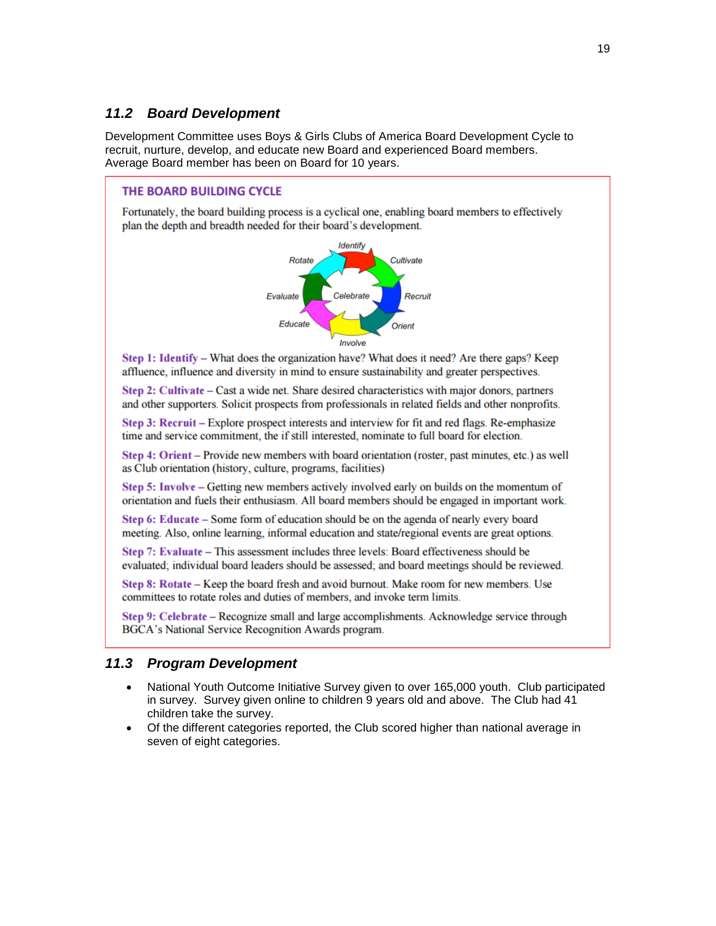#### *11.2 Board Development*

Development Committee uses Boys & Girls Clubs of America Board Development Cycle to recruit, nurture, develop, and educate new Board and experienced Board members. Average Board member has been on Board for 10 years.

#### **THE BOARD BUILDING CYCLE**

Fortunately, the board building process is a cyclical one, enabling board members to effectively plan the depth and breadth needed for their board's development.



Step 1: Identify – What does the organization have? What does it need? Are there gaps? Keep affluence, influence and diversity in mind to ensure sustainability and greater perspectives.

Step 2: Cultivate - Cast a wide net. Share desired characteristics with major donors, partners and other supporters. Solicit prospects from professionals in related fields and other nonprofits.

Step 3: Recruit – Explore prospect interests and interview for fit and red flags. Re-emphasize time and service commitment, the if still interested, nominate to full board for election.

Step 4: Orient - Provide new members with board orientation (roster, past minutes, etc.) as well as Club orientation (history, culture, programs, facilities)

Step 5: Involve – Getting new members actively involved early on builds on the momentum of orientation and fuels their enthusiasm. All board members should be engaged in important work.

Step 6: Educate – Some form of education should be on the agenda of nearly every board meeting. Also, online learning, informal education and state/regional events are great options.

Step 7: Evaluate – This assessment includes three levels: Board effectiveness should be evaluated; individual board leaders should be assessed; and board meetings should be reviewed.

Step 8: Rotate – Keep the board fresh and avoid burnout. Make room for new members. Use committees to rotate roles and duties of members, and invoke term limits.

Step 9: Celebrate – Recognize small and large accomplishments. Acknowledge service through BGCA's National Service Recognition Awards program.

#### *11.3 Program Development*

- National Youth Outcome Initiative Survey given to over 165,000 youth. Club participated in survey. Survey given online to children 9 years old and above. The Club had 41 children take the survey.
- Of the different categories reported, the Club scored higher than national average in seven of eight categories.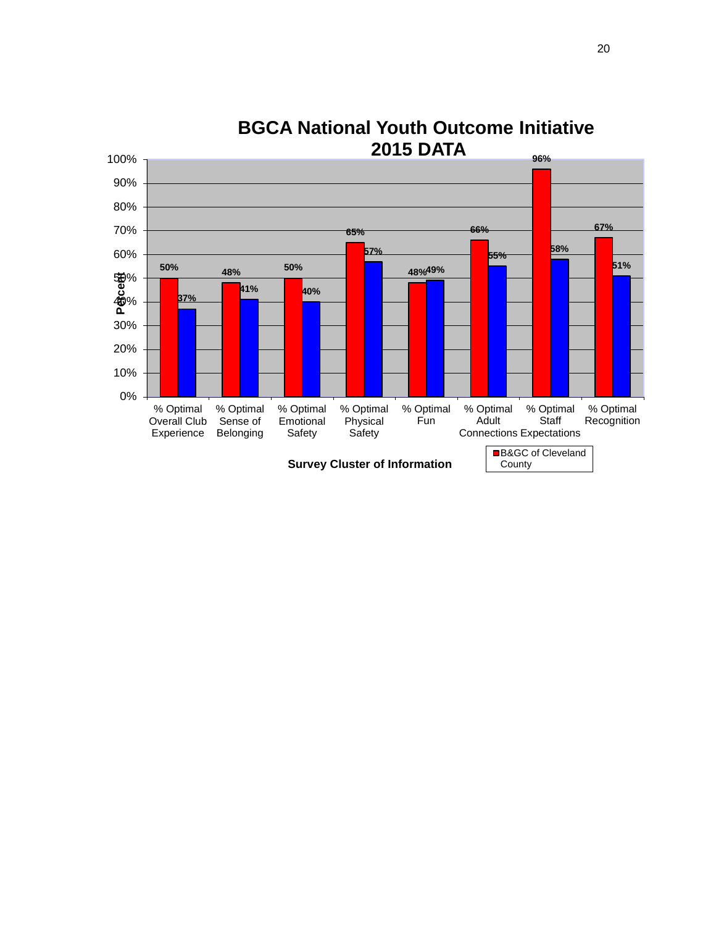

# **BGCA National Youth Outcome Initiative 2015 DATA**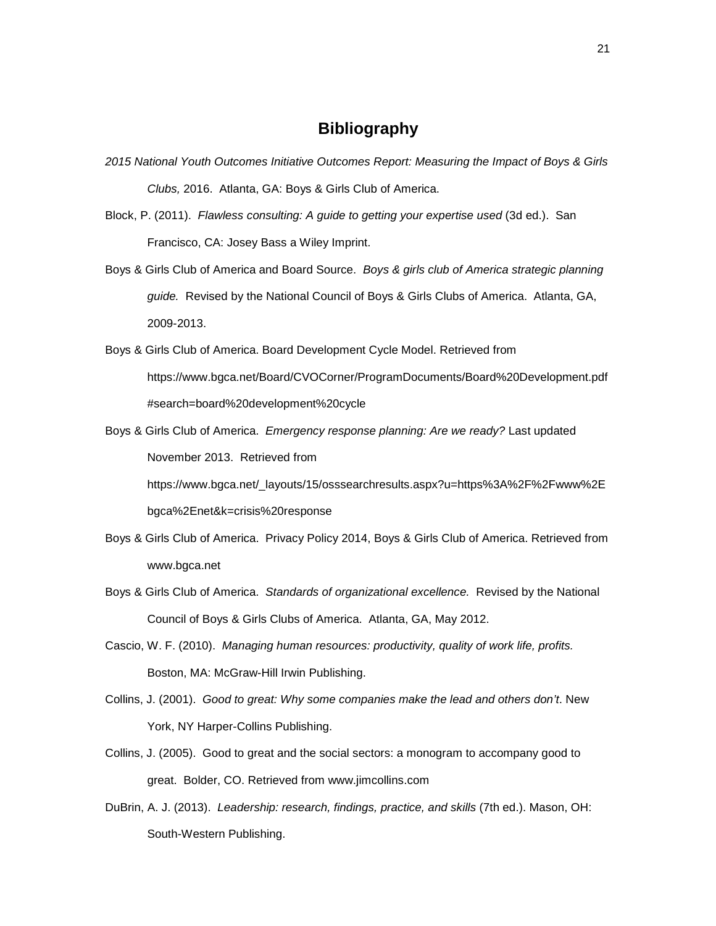### **Bibliography**

- <span id="page-27-0"></span>*2015 National Youth Outcomes Initiative Outcomes Report: Measuring the Impact of Boys & Girls Clubs,* 2016. Atlanta, GA: Boys & Girls Club of America.
- Block, P. (2011). *Flawless consulting: A guide to getting your expertise used* (3d ed.). San Francisco, CA: Josey Bass a Wiley Imprint.
- Boys & Girls Club of America and Board Source. *Boys & girls club of America strategic planning guide.* Revised by the National Council of Boys & Girls Clubs of America. Atlanta, GA, 2009-2013.
- Boys & Girls Club of America. Board Development Cycle Model. Retrieved from https://www.bgca.net/Board/CVOCorner/ProgramDocuments/Board%20Development.pdf #search=board%20development%20cycle
- Boys & Girls Club of America. *Emergency response planning: Are we ready?* Last updated November 2013. Retrieved from https://www.bgca.net/\_layouts/15/osssearchresults.aspx?u=https%3A%2F%2Fwww%2E

bgca%2Enet&k=crisis%20response

- Boys & Girls Club of America. Privacy Policy 2014, Boys & Girls Club of America. Retrieved from www.bgca.net
- Boys & Girls Club of America. *Standards of organizational excellence.* Revised by the National Council of Boys & Girls Clubs of America. Atlanta, GA, May 2012.
- Cascio, W. F. (2010). *Managing human resources: productivity, quality of work life, profits.*  Boston, MA: McGraw-Hill Irwin Publishing.
- Collins, J. (2001). *Good to great: Why some companies make the lead and others don't*. New York, NY Harper-Collins Publishing.
- Collins, J. (2005). Good to great and the social sectors: a monogram to accompany good to great. Bolder, CO. Retrieved from www.jimcollins.com
- DuBrin, A. J. (2013). *Leadership: research, findings, practice, and skills* (7th ed.). Mason, OH: South-Western Publishing.